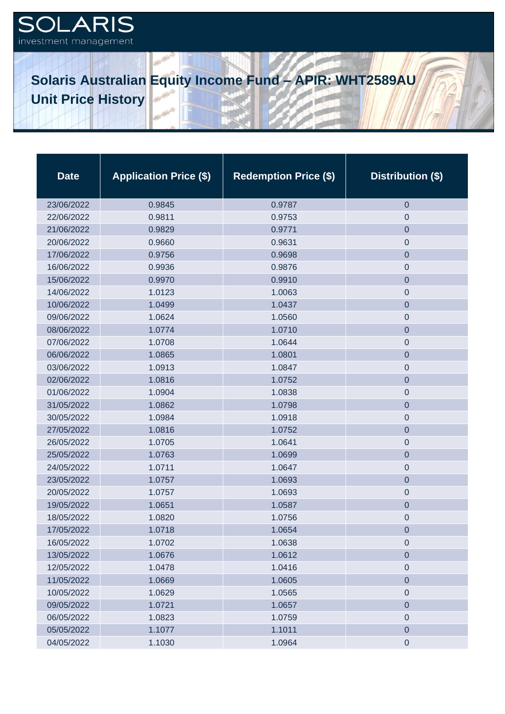## OLARIS  $\mathbf{C}$ investment management

**Solaris Australian Equity Income Fund – APIR: WHT2589AU Unit Price History** 

| <b>Date</b> | <b>Application Price (\$)</b> | <b>Redemption Price (\$)</b> | Distribution (\$) |
|-------------|-------------------------------|------------------------------|-------------------|
| 23/06/2022  | 0.9845                        | 0.9787                       | $\mathbf 0$       |
| 22/06/2022  | 0.9811                        | 0.9753                       | 0                 |
| 21/06/2022  | 0.9829                        | 0.9771                       | $\overline{0}$    |
| 20/06/2022  | 0.9660                        | 0.9631                       | 0                 |
| 17/06/2022  | 0.9756                        | 0.9698                       | $\overline{0}$    |
| 16/06/2022  | 0.9936                        | 0.9876                       | 0                 |
| 15/06/2022  | 0.9970                        | 0.9910                       | $\mathbf 0$       |
| 14/06/2022  | 1.0123                        | 1.0063                       | $\mathbf 0$       |
| 10/06/2022  | 1.0499                        | 1.0437                       | $\mathbf 0$       |
| 09/06/2022  | 1.0624                        | 1.0560                       | $\pmb{0}$         |
| 08/06/2022  | 1.0774                        | 1.0710                       | $\mathbf 0$       |
| 07/06/2022  | 1.0708                        | 1.0644                       | $\mathbf 0$       |
| 06/06/2022  | 1.0865                        | 1.0801                       | $\mathbf 0$       |
| 03/06/2022  | 1.0913                        | 1.0847                       | $\boldsymbol{0}$  |
| 02/06/2022  | 1.0816                        | 1.0752                       | $\mathbf 0$       |
| 01/06/2022  | 1.0904                        | 1.0838                       | $\mathbf 0$       |
| 31/05/2022  | 1.0862                        | 1.0798                       | $\mathbf 0$       |
| 30/05/2022  | 1.0984                        | 1.0918                       | $\mathbf 0$       |
| 27/05/2022  | 1.0816                        | 1.0752                       | $\mathbf 0$       |
| 26/05/2022  | 1.0705                        | 1.0641                       | $\mathbf 0$       |
| 25/05/2022  | 1.0763                        | 1.0699                       | $\mathbf 0$       |
| 24/05/2022  | 1.0711                        | 1.0647                       | $\boldsymbol{0}$  |
| 23/05/2022  | 1.0757                        | 1.0693                       | $\mathbf 0$       |
| 20/05/2022  | 1.0757                        | 1.0693                       | $\boldsymbol{0}$  |
| 19/05/2022  | 1.0651                        | 1.0587                       | $\mathbf 0$       |
| 18/05/2022  | 1.0820                        | 1.0756                       | $\boldsymbol{0}$  |
| 17/05/2022  | 1.0718                        | 1.0654                       | $\overline{0}$    |
| 16/05/2022  | 1.0702                        | 1.0638                       | 0                 |
| 13/05/2022  | 1.0676                        | 1.0612                       | $\overline{0}$    |
| 12/05/2022  | 1.0478                        | 1.0416                       | $\pmb{0}$         |
| 11/05/2022  | 1.0669                        | 1.0605                       | $\boldsymbol{0}$  |
| 10/05/2022  | 1.0629                        | 1.0565                       | $\mathbf 0$       |
| 09/05/2022  | 1.0721                        | 1.0657                       | $\boldsymbol{0}$  |
| 06/05/2022  | 1.0823                        | 1.0759                       | $\mathbf 0$       |
| 05/05/2022  | 1.1077                        | 1.1011                       | $\pmb{0}$         |
| 04/05/2022  | 1.1030                        | 1.0964                       | $\mathbf 0$       |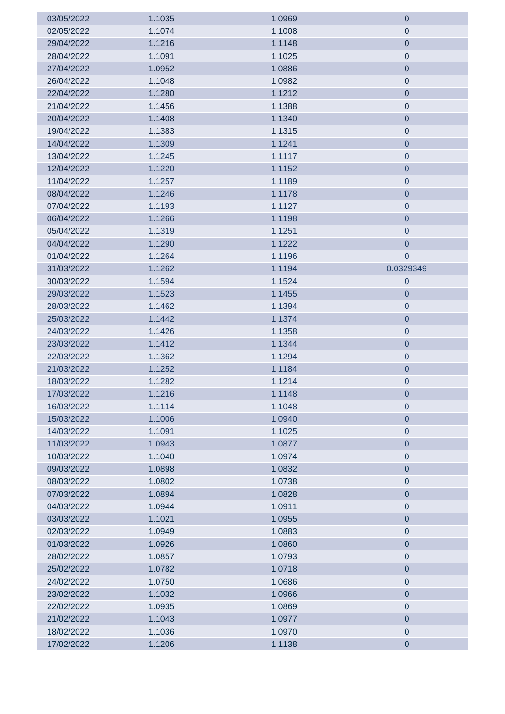| 03/05/2022 | 1.1035 | 1.0969 | $\mathbf 0$      |
|------------|--------|--------|------------------|
| 02/05/2022 | 1.1074 | 1.1008 | $\boldsymbol{0}$ |
| 29/04/2022 | 1.1216 | 1.1148 | $\pmb{0}$        |
| 28/04/2022 | 1.1091 | 1.1025 | $\mathbf 0$      |
| 27/04/2022 | 1.0952 | 1.0886 | $\mathbf 0$      |
| 26/04/2022 | 1.1048 | 1.0982 | $\mathbf 0$      |
| 22/04/2022 | 1.1280 | 1.1212 | $\mathbf 0$      |
| 21/04/2022 | 1.1456 | 1.1388 | $\pmb{0}$        |
| 20/04/2022 | 1.1408 | 1.1340 | $\mathbf 0$      |
| 19/04/2022 | 1.1383 | 1.1315 | $\mathbf 0$      |
| 14/04/2022 | 1.1309 | 1.1241 | $\mathbf 0$      |
| 13/04/2022 | 1.1245 | 1.1117 | $\pmb{0}$        |
| 12/04/2022 | 1.1220 | 1.1152 | $\pmb{0}$        |
| 11/04/2022 | 1.1257 | 1.1189 | $\pmb{0}$        |
| 08/04/2022 | 1.1246 | 1.1178 | $\pmb{0}$        |
| 07/04/2022 | 1.1193 | 1.1127 | $\pmb{0}$        |
| 06/04/2022 | 1.1266 | 1.1198 | $\mathbf 0$      |
| 05/04/2022 | 1.1319 | 1.1251 | $\mathbf 0$      |
| 04/04/2022 | 1.1290 | 1.1222 | $\mathbf 0$      |
| 01/04/2022 | 1.1264 | 1.1196 | $\mathbf 0$      |
| 31/03/2022 | 1.1262 | 1.1194 | 0.0329349        |
| 30/03/2022 | 1.1594 | 1.1524 | $\mathbf 0$      |
| 29/03/2022 | 1.1523 | 1.1455 | $\mathbf 0$      |
| 28/03/2022 | 1.1462 | 1.1394 | $\pmb{0}$        |
| 25/03/2022 | 1.1442 | 1.1374 | $\pmb{0}$        |
| 24/03/2022 | 1.1426 | 1.1358 | $\pmb{0}$        |
| 23/03/2022 | 1.1412 | 1.1344 | $\pmb{0}$        |
| 22/03/2022 | 1.1362 | 1.1294 | $\pmb{0}$        |
| 21/03/2022 | 1.1252 | 1.1184 | $\pmb{0}$        |
| 18/03/2022 | 1.1282 | 1.1214 | 0                |
| 17/03/2022 | 1.1216 | 1.1148 | $\pmb{0}$        |
| 16/03/2022 | 1.1114 | 1.1048 | 0                |
| 15/03/2022 | 1.1006 | 1.0940 | $\overline{0}$   |
| 14/03/2022 | 1.1091 | 1.1025 | $\mathbf 0$      |
| 11/03/2022 | 1.0943 | 1.0877 | $\overline{0}$   |
| 10/03/2022 | 1.1040 | 1.0974 | $\pmb{0}$        |
| 09/03/2022 | 1.0898 | 1.0832 | $\overline{0}$   |
| 08/03/2022 | 1.0802 | 1.0738 | $\pmb{0}$        |
| 07/03/2022 | 1.0894 | 1.0828 | $\pmb{0}$        |
| 04/03/2022 | 1.0944 | 1.0911 | $\pmb{0}$        |
| 03/03/2022 | 1.1021 | 1.0955 | $\pmb{0}$        |
| 02/03/2022 | 1.0949 | 1.0883 | $\pmb{0}$        |
| 01/03/2022 | 1.0926 | 1.0860 | $\pmb{0}$        |
| 28/02/2022 | 1.0857 | 1.0793 | $\pmb{0}$        |
| 25/02/2022 | 1.0782 | 1.0718 | $\mathbf 0$      |
| 24/02/2022 | 1.0750 | 1.0686 | $\mathbf 0$      |
| 23/02/2022 | 1.1032 | 1.0966 | $\pmb{0}$        |
| 22/02/2022 | 1.0935 | 1.0869 | $\pmb{0}$        |
| 21/02/2022 | 1.1043 | 1.0977 | $\pmb{0}$        |
| 18/02/2022 | 1.1036 | 1.0970 | $\pmb{0}$        |
| 17/02/2022 | 1.1206 | 1.1138 | $\pmb{0}$        |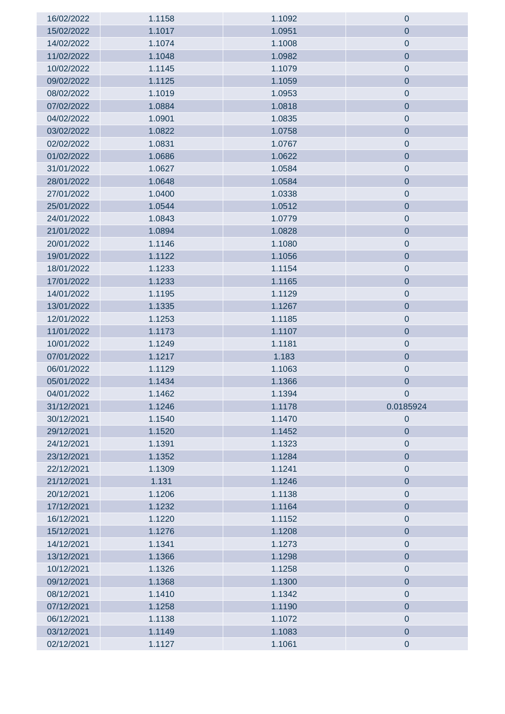| 16/02/2022 | 1.1158 | 1.1092 | $\mathbf 0$      |
|------------|--------|--------|------------------|
| 15/02/2022 | 1.1017 | 1.0951 | $\mathbf 0$      |
| 14/02/2022 | 1.1074 | 1.1008 | $\pmb{0}$        |
| 11/02/2022 | 1.1048 | 1.0982 | $\mathbf 0$      |
| 10/02/2022 | 1.1145 | 1.1079 | $\pmb{0}$        |
| 09/02/2022 | 1.1125 | 1.1059 | $\mathbf 0$      |
| 08/02/2022 | 1.1019 | 1.0953 | $\mathbf 0$      |
| 07/02/2022 | 1.0884 | 1.0818 | $\mathbf 0$      |
| 04/02/2022 | 1.0901 | 1.0835 | $\pmb{0}$        |
| 03/02/2022 | 1.0822 | 1.0758 | $\pmb{0}$        |
| 02/02/2022 | 1.0831 | 1.0767 | $\pmb{0}$        |
| 01/02/2022 | 1.0686 | 1.0622 | $\pmb{0}$        |
| 31/01/2022 | 1.0627 | 1.0584 | $\pmb{0}$        |
| 28/01/2022 | 1.0648 | 1.0584 | $\pmb{0}$        |
| 27/01/2022 | 1.0400 | 1.0338 | $\pmb{0}$        |
| 25/01/2022 | 1.0544 | 1.0512 | $\overline{0}$   |
| 24/01/2022 | 1.0843 | 1.0779 | $\pmb{0}$        |
| 21/01/2022 | 1.0894 | 1.0828 | $\overline{0}$   |
| 20/01/2022 | 1.1146 | 1.1080 | $\boldsymbol{0}$ |
| 19/01/2022 | 1.1122 | 1.1056 | $\overline{0}$   |
| 18/01/2022 | 1.1233 | 1.1154 | $\pmb{0}$        |
| 17/01/2022 | 1.1233 | 1.1165 | $\pmb{0}$        |
| 14/01/2022 | 1.1195 | 1.1129 | $\pmb{0}$        |
| 13/01/2022 | 1.1335 | 1.1267 | $\pmb{0}$        |
| 12/01/2022 | 1.1253 | 1.1185 | $\pmb{0}$        |
| 11/01/2022 | 1.1173 | 1.1107 | $\pmb{0}$        |
| 10/01/2022 | 1.1249 | 1.1181 | $\pmb{0}$        |
| 07/01/2022 | 1.1217 | 1.183  | $\pmb{0}$        |
| 06/01/2022 | 1.1129 | 1.1063 | $\pmb{0}$        |
| 05/01/2022 | 1.1434 | 1.1366 | $\mathbf 0$      |
| 04/01/2022 | 1.1462 | 1.1394 | $\overline{0}$   |
| 31/12/2021 | 1.1246 | 1.1178 | 0.0185924        |
| 30/12/2021 | 1.1540 | 1.1470 | $\pmb{0}$        |
| 29/12/2021 | 1.1520 | 1.1452 | $\mathbf 0$      |
| 24/12/2021 | 1.1391 | 1.1323 | $\pmb{0}$        |
| 23/12/2021 | 1.1352 | 1.1284 | $\pmb{0}$        |
| 22/12/2021 | 1.1309 | 1.1241 | $\pmb{0}$        |
| 21/12/2021 | 1.131  | 1.1246 | $\pmb{0}$        |
| 20/12/2021 | 1.1206 | 1.1138 | $\pmb{0}$        |
| 17/12/2021 | 1.1232 | 1.1164 | $\pmb{0}$        |
| 16/12/2021 | 1.1220 | 1.1152 | $\pmb{0}$        |
| 15/12/2021 | 1.1276 | 1.1208 | $\overline{0}$   |
| 14/12/2021 | 1.1341 | 1.1273 | $\pmb{0}$        |
| 13/12/2021 | 1.1366 | 1.1298 | $\overline{0}$   |
| 10/12/2021 | 1.1326 | 1.1258 | $\pmb{0}$        |
| 09/12/2021 | 1.1368 | 1.1300 | $\overline{0}$   |
| 08/12/2021 | 1.1410 | 1.1342 | $\pmb{0}$        |
| 07/12/2021 | 1.1258 | 1.1190 | $\pmb{0}$        |
| 06/12/2021 | 1.1138 | 1.1072 | $\pmb{0}$        |
| 03/12/2021 | 1.1149 | 1.1083 | $\pmb{0}$        |
| 02/12/2021 | 1.1127 | 1.1061 | $\pmb{0}$        |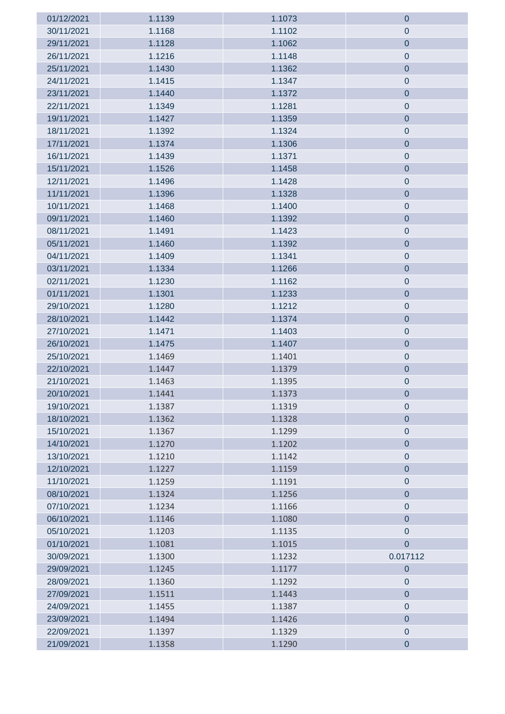| 01/12/2021 | 1.1139 | 1.1073 | 0              |
|------------|--------|--------|----------------|
| 30/11/2021 | 1.1168 | 1.1102 | 0              |
| 29/11/2021 | 1.1128 | 1.1062 | $\mathbf 0$    |
| 26/11/2021 | 1.1216 | 1.1148 | $\pmb{0}$      |
| 25/11/2021 | 1.1430 | 1.1362 | $\overline{0}$ |
| 24/11/2021 | 1.1415 | 1.1347 | $\pmb{0}$      |
| 23/11/2021 | 1.1440 | 1.1372 | $\mathbf 0$    |
| 22/11/2021 | 1.1349 | 1.1281 | $\pmb{0}$      |
| 19/11/2021 | 1.1427 | 1.1359 | $\pmb{0}$      |
| 18/11/2021 | 1.1392 | 1.1324 | $\pmb{0}$      |
| 17/11/2021 | 1.1374 | 1.1306 | $\pmb{0}$      |
| 16/11/2021 | 1.1439 | 1.1371 | $\pmb{0}$      |
| 15/11/2021 | 1.1526 | 1.1458 | $\pmb{0}$      |
| 12/11/2021 | 1.1496 | 1.1428 | $\pmb{0}$      |
| 11/11/2021 | 1.1396 | 1.1328 | $\pmb{0}$      |
| 10/11/2021 | 1.1468 | 1.1400 | $\pmb{0}$      |
| 09/11/2021 | 1.1460 | 1.1392 | $\mathbf 0$    |
| 08/11/2021 | 1.1491 | 1.1423 | $\pmb{0}$      |
| 05/11/2021 | 1.1460 | 1.1392 | $\pmb{0}$      |
| 04/11/2021 | 1.1409 | 1.1341 | $\pmb{0}$      |
| 03/11/2021 | 1.1334 | 1.1266 | $\pmb{0}$      |
| 02/11/2021 | 1.1230 | 1.1162 | $\pmb{0}$      |
| 01/11/2021 | 1.1301 | 1.1233 | $\pmb{0}$      |
| 29/10/2021 | 1.1280 | 1.1212 | $\pmb{0}$      |
| 28/10/2021 | 1.1442 | 1.1374 | $\mathbf 0$    |
| 27/10/2021 | 1.1471 | 1.1403 | $\pmb{0}$      |
| 26/10/2021 | 1.1475 | 1.1407 | $\pmb{0}$      |
| 25/10/2021 | 1.1469 | 1.1401 | $\pmb{0}$      |
| 22/10/2021 | 1.1447 | 1.1379 | $\pmb{0}$      |
| 21/10/2021 | 1.1463 | 1.1395 | $\pmb{0}$      |
| 20/10/2021 | 1.1441 | 1.1373 | 0              |
| 19/10/2021 | 1.1387 | 1.1319 | 0              |
| 18/10/2021 | 1.1362 | 1.1328 | $\overline{0}$ |
| 15/10/2021 | 1.1367 | 1.1299 | $\pmb{0}$      |
| 14/10/2021 | 1.1270 | 1.1202 | $\pmb{0}$      |
| 13/10/2021 | 1.1210 | 1.1142 | $\pmb{0}$      |
| 12/10/2021 | 1.1227 | 1.1159 | $\pmb{0}$      |
| 11/10/2021 | 1.1259 | 1.1191 | $\pmb{0}$      |
| 08/10/2021 | 1.1324 | 1.1256 | $\pmb{0}$      |
| 07/10/2021 | 1.1234 | 1.1166 | $\pmb{0}$      |
| 06/10/2021 | 1.1146 | 1.1080 | $\overline{0}$ |
| 05/10/2021 | 1.1203 | 1.1135 | $\mathbf 0$    |
| 01/10/2021 | 1.1081 | 1.1015 | $\overline{0}$ |
| 30/09/2021 | 1.1300 | 1.1232 | 0.017112       |
| 29/09/2021 | 1.1245 | 1.1177 | $\pmb{0}$      |
| 28/09/2021 | 1.1360 | 1.1292 | $\pmb{0}$      |
| 27/09/2021 | 1.1511 | 1.1443 | $\pmb{0}$      |
| 24/09/2021 | 1.1455 | 1.1387 | $\pmb{0}$      |
| 23/09/2021 | 1.1494 | 1.1426 | $\pmb{0}$      |
| 22/09/2021 | 1.1397 | 1.1329 | $\pmb{0}$      |
| 21/09/2021 | 1.1358 | 1.1290 | $\pmb{0}$      |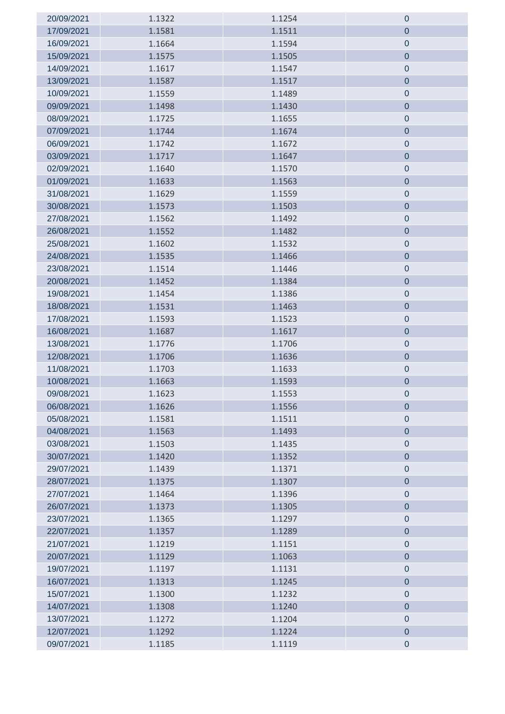| 20/09/2021 | 1.1322 | 1.1254 | $\mathbf 0$    |
|------------|--------|--------|----------------|
| 17/09/2021 | 1.1581 | 1.1511 | $\mathbf 0$    |
| 16/09/2021 | 1.1664 | 1.1594 | $\pmb{0}$      |
| 15/09/2021 | 1.1575 | 1.1505 | $\mathbf 0$    |
| 14/09/2021 | 1.1617 | 1.1547 | $\mathbf 0$    |
| 13/09/2021 | 1.1587 | 1.1517 | $\pmb{0}$      |
| 10/09/2021 | 1.1559 | 1.1489 | $\mathbf 0$    |
| 09/09/2021 | 1.1498 | 1.1430 | $\pmb{0}$      |
| 08/09/2021 | 1.1725 | 1.1655 | $\pmb{0}$      |
| 07/09/2021 | 1.1744 | 1.1674 | $\pmb{0}$      |
| 06/09/2021 | 1.1742 | 1.1672 | $\pmb{0}$      |
| 03/09/2021 | 1.1717 | 1.1647 | $\pmb{0}$      |
| 02/09/2021 | 1.1640 | 1.1570 | $\pmb{0}$      |
| 01/09/2021 | 1.1633 | 1.1563 | $\overline{0}$ |
| 31/08/2021 | 1.1629 | 1.1559 | $\pmb{0}$      |
| 30/08/2021 | 1.1573 | 1.1503 | $\overline{0}$ |
| 27/08/2021 | 1.1562 | 1.1492 | $\pmb{0}$      |
| 26/08/2021 | 1.1552 | 1.1482 | $\overline{0}$ |
| 25/08/2021 | 1.1602 | 1.1532 | $\pmb{0}$      |
| 24/08/2021 | 1.1535 | 1.1466 | $\mathbf 0$    |
| 23/08/2021 | 1.1514 | 1.1446 | $\pmb{0}$      |
| 20/08/2021 | 1.1452 | 1.1384 | $\pmb{0}$      |
| 19/08/2021 | 1.1454 | 1.1386 | $\pmb{0}$      |
| 18/08/2021 | 1.1531 | 1.1463 | $\pmb{0}$      |
| 17/08/2021 | 1.1593 | 1.1523 | $\pmb{0}$      |
| 16/08/2021 | 1.1687 | 1.1617 | $\pmb{0}$      |
| 13/08/2021 | 1.1776 | 1.1706 | $\pmb{0}$      |
| 12/08/2021 | 1.1706 | 1.1636 | $\pmb{0}$      |
| 11/08/2021 | 1.1703 | 1.1633 | $\pmb{0}$      |
| 10/08/2021 | 1.1663 | 1.1593 | $\mathbf 0$    |
| 09/08/2021 | 1.1623 | 1.1553 | $\pmb{0}$      |
| 06/08/2021 | 1.1626 | 1.1556 | $\mathbf 0$    |
| 05/08/2021 | 1.1581 | 1.1511 | $\pmb{0}$      |
| 04/08/2021 | 1.1563 | 1.1493 | $\pmb{0}$      |
| 03/08/2021 | 1.1503 | 1.1435 | $\pmb{0}$      |
| 30/07/2021 | 1.1420 | 1.1352 | $\pmb{0}$      |
| 29/07/2021 | 1.1439 | 1.1371 | $\pmb{0}$      |
| 28/07/2021 | 1.1375 | 1.1307 | $\pmb{0}$      |
| 27/07/2021 | 1.1464 | 1.1396 | $\pmb{0}$      |
| 26/07/2021 | 1.1373 | 1.1305 | $\pmb{0}$      |
| 23/07/2021 | 1.1365 | 1.1297 | $\pmb{0}$      |
| 22/07/2021 | 1.1357 | 1.1289 | $\overline{0}$ |
| 21/07/2021 | 1.1219 | 1.1151 | $\pmb{0}$      |
| 20/07/2021 | 1.1129 | 1.1063 | $\overline{0}$ |
| 19/07/2021 | 1.1197 | 1.1131 | $\pmb{0}$      |
| 16/07/2021 | 1.1313 | 1.1245 | $\pmb{0}$      |
| 15/07/2021 | 1.1300 | 1.1232 | $\pmb{0}$      |
| 14/07/2021 | 1.1308 | 1.1240 | $\pmb{0}$      |
| 13/07/2021 | 1.1272 | 1.1204 | $\pmb{0}$      |
| 12/07/2021 | 1.1292 | 1.1224 | $\pmb{0}$      |
| 09/07/2021 | 1.1185 | 1.1119 | $\pmb{0}$      |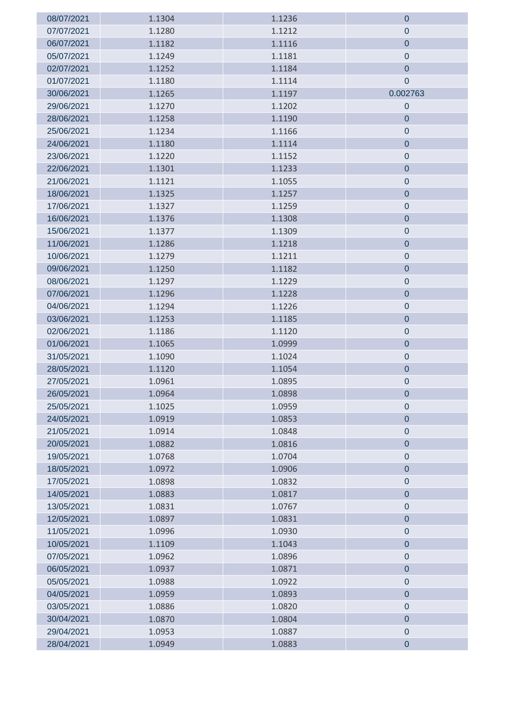| 08/07/2021 | 1.1304 | 1.1236 | 0                |
|------------|--------|--------|------------------|
| 07/07/2021 | 1.1280 | 1.1212 | $\theta$         |
| 06/07/2021 | 1.1182 | 1.1116 | $\mathbf 0$      |
| 05/07/2021 | 1.1249 | 1.1181 | $\mathbf 0$      |
| 02/07/2021 | 1.1252 | 1.1184 | $\overline{0}$   |
| 01/07/2021 | 1.1180 | 1.1114 | $\boldsymbol{0}$ |
| 30/06/2021 | 1.1265 | 1.1197 | 0.002763         |
| 29/06/2021 | 1.1270 | 1.1202 | $\mathbf 0$      |
| 28/06/2021 | 1.1258 | 1.1190 | $\mathbf 0$      |
| 25/06/2021 | 1.1234 | 1.1166 | $\pmb{0}$        |
| 24/06/2021 | 1.1180 | 1.1114 | $\pmb{0}$        |
| 23/06/2021 | 1.1220 | 1.1152 | $\pmb{0}$        |
| 22/06/2021 | 1.1301 | 1.1233 | $\pmb{0}$        |
| 21/06/2021 | 1.1121 | 1.1055 | $\pmb{0}$        |
| 18/06/2021 | 1.1325 | 1.1257 | $\pmb{0}$        |
| 17/06/2021 | 1.1327 | 1.1259 | $\pmb{0}$        |
| 16/06/2021 | 1.1376 | 1.1308 | $\mathbf 0$      |
| 15/06/2021 | 1.1377 | 1.1309 | $\pmb{0}$        |
| 11/06/2021 | 1.1286 | 1.1218 | $\mathbf 0$      |
| 10/06/2021 | 1.1279 | 1.1211 | $\mathbf 0$      |
| 09/06/2021 | 1.1250 | 1.1182 | $\mathbf 0$      |
| 08/06/2021 | 1.1297 | 1.1229 | $\pmb{0}$        |
| 07/06/2021 | 1.1296 | 1.1228 | $\mathbf 0$      |
| 04/06/2021 | 1.1294 | 1.1226 | $\pmb{0}$        |
| 03/06/2021 | 1.1253 | 1.1185 | $\pmb{0}$        |
| 02/06/2021 | 1.1186 | 1.1120 | $\pmb{0}$        |
| 01/06/2021 | 1.1065 | 1.0999 | $\mathbf 0$      |
| 31/05/2021 | 1.1090 | 1.1024 | $\pmb{0}$        |
| 28/05/2021 | 1.1120 | 1.1054 | $\mathbf 0$      |
| 27/05/2021 | 1.0961 | 1.0895 | 0                |
| 26/05/2021 | 1.0964 | 1.0898 | 0                |
| 25/05/2021 | 1.1025 | 1.0959 | 0                |
| 24/05/2021 | 1.0919 | 1.0853 | $\overline{0}$   |
| 21/05/2021 | 1.0914 | 1.0848 | $\pmb{0}$        |
| 20/05/2021 | 1.0882 | 1.0816 | $\pmb{0}$        |
| 19/05/2021 | 1.0768 | 1.0704 | $\pmb{0}$        |
| 18/05/2021 | 1.0972 | 1.0906 | $\pmb{0}$        |
| 17/05/2021 | 1.0898 | 1.0832 | $\pmb{0}$        |
| 14/05/2021 | 1.0883 | 1.0817 | $\pmb{0}$        |
| 13/05/2021 | 1.0831 | 1.0767 | $\mathbf 0$      |
| 12/05/2021 | 1.0897 | 1.0831 | $\pmb{0}$        |
| 11/05/2021 | 1.0996 | 1.0930 | $\pmb{0}$        |
| 10/05/2021 | 1.1109 | 1.1043 | $\pmb{0}$        |
| 07/05/2021 | 1.0962 | 1.0896 | $\pmb{0}$        |
| 06/05/2021 | 1.0937 | 1.0871 | $\pmb{0}$        |
| 05/05/2021 | 1.0988 | 1.0922 | $\pmb{0}$        |
| 04/05/2021 | 1.0959 | 1.0893 | $\pmb{0}$        |
| 03/05/2021 | 1.0886 | 1.0820 | $\pmb{0}$        |
| 30/04/2021 | 1.0870 | 1.0804 | $\pmb{0}$        |
| 29/04/2021 | 1.0953 | 1.0887 | $\pmb{0}$        |
| 28/04/2021 | 1.0949 | 1.0883 | $\pmb{0}$        |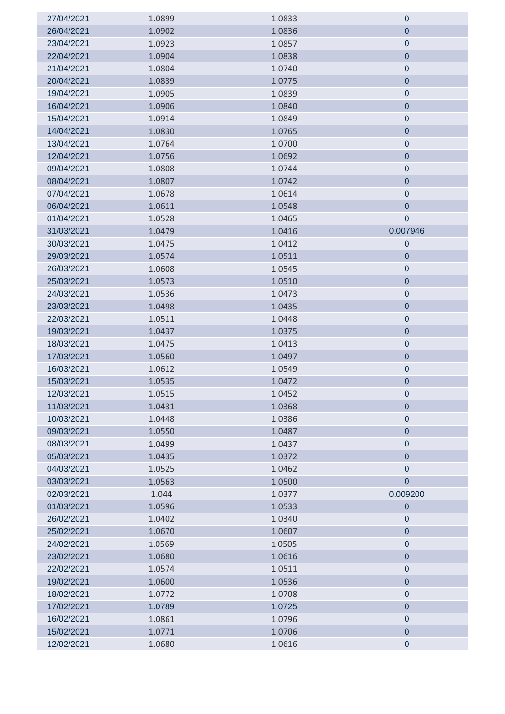| 27/04/2021 | 1.0899 | 1.0833 | $\mathbf 0$      |
|------------|--------|--------|------------------|
| 26/04/2021 | 1.0902 | 1.0836 | $\mathbf 0$      |
| 23/04/2021 | 1.0923 | 1.0857 | $\pmb{0}$        |
| 22/04/2021 | 1.0904 | 1.0838 | $\pmb{0}$        |
| 21/04/2021 | 1.0804 | 1.0740 | $\pmb{0}$        |
| 20/04/2021 | 1.0839 | 1.0775 | $\mathbf 0$      |
| 19/04/2021 | 1.0905 | 1.0839 | $\mathbf 0$      |
| 16/04/2021 | 1.0906 | 1.0840 | $\overline{0}$   |
| 15/04/2021 | 1.0914 | 1.0849 | $\pmb{0}$        |
| 14/04/2021 | 1.0830 | 1.0765 | $\mathbf 0$      |
| 13/04/2021 | 1.0764 | 1.0700 | $\mathbf 0$      |
| 12/04/2021 | 1.0756 | 1.0692 | $\overline{0}$   |
| 09/04/2021 | 1.0808 | 1.0744 | $\pmb{0}$        |
| 08/04/2021 | 1.0807 | 1.0742 | $\pmb{0}$        |
| 07/04/2021 | 1.0678 | 1.0614 | $\pmb{0}$        |
| 06/04/2021 | 1.0611 | 1.0548 | $\pmb{0}$        |
| 01/04/2021 | 1.0528 | 1.0465 | $\mathbf 0$      |
| 31/03/2021 | 1.0479 | 1.0416 | 0.007946         |
| 30/03/2021 | 1.0475 | 1.0412 | $\mathbf 0$      |
| 29/03/2021 | 1.0574 | 1.0511 | $\mathbf 0$      |
| 26/03/2021 | 1.0608 | 1.0545 | $\mathbf 0$      |
| 25/03/2021 | 1.0573 | 1.0510 | $\overline{0}$   |
| 24/03/2021 | 1.0536 | 1.0473 | $\mathbf 0$      |
| 23/03/2021 | 1.0498 | 1.0435 | $\overline{0}$   |
| 22/03/2021 | 1.0511 | 1.0448 | $\mathbf 0$      |
| 19/03/2021 | 1.0437 | 1.0375 | $\pmb{0}$        |
| 18/03/2021 | 1.0475 | 1.0413 | $\pmb{0}$        |
| 17/03/2021 | 1.0560 | 1.0497 | $\pmb{0}$        |
| 16/03/2021 | 1.0612 | 1.0549 | $\pmb{0}$        |
| 15/03/2021 | 1.0535 | 1.0472 | $\mathbf 0$      |
| 12/03/2021 | 1.0515 | 1.0452 | $\boldsymbol{0}$ |
| 11/03/2021 | 1.0431 | 1.0368 | $\mathbf 0$      |
| 10/03/2021 | 1.0448 | 1.0386 | $\pmb{0}$        |
| 09/03/2021 | 1.0550 | 1.0487 | $\pmb{0}$        |
| 08/03/2021 | 1.0499 | 1.0437 | $\pmb{0}$        |
| 05/03/2021 | 1.0435 | 1.0372 | $\overline{0}$   |
| 04/03/2021 | 1.0525 | 1.0462 | $\overline{0}$   |
| 03/03/2021 | 1.0563 | 1.0500 | $\overline{0}$   |
| 02/03/2021 | 1.044  | 1.0377 | 0.009200         |
| 01/03/2021 | 1.0596 | 1.0533 | $\pmb{0}$        |
| 26/02/2021 | 1.0402 | 1.0340 | $\mathbf 0$      |
| 25/02/2021 | 1.0670 | 1.0607 | $\pmb{0}$        |
| 24/02/2021 | 1.0569 | 1.0505 | $\mathbf 0$      |
| 23/02/2021 | 1.0680 | 1.0616 | $\pmb{0}$        |
| 22/02/2021 | 1.0574 | 1.0511 | $\pmb{0}$        |
| 19/02/2021 | 1.0600 | 1.0536 | $\overline{0}$   |
| 18/02/2021 | 1.0772 | 1.0708 | $\mathbf 0$      |
| 17/02/2021 | 1.0789 | 1.0725 | $\overline{0}$   |
| 16/02/2021 | 1.0861 | 1.0796 | $\pmb{0}$        |
| 15/02/2021 | 1.0771 | 1.0706 | $\pmb{0}$        |
| 12/02/2021 | 1.0680 | 1.0616 | $\pmb{0}$        |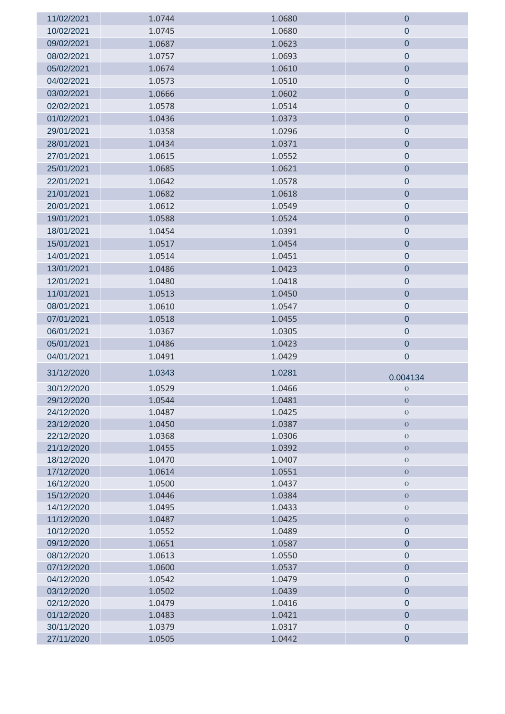| 11/02/2021               | 1.0744           | 1.0680           | $\pmb{0}$                     |
|--------------------------|------------------|------------------|-------------------------------|
| 10/02/2021               | 1.0745           | 1.0680           | $\pmb{0}$                     |
| 09/02/2021               | 1.0687           | 1.0623           | $\pmb{0}$                     |
| 08/02/2021               | 1.0757           | 1.0693           | $\pmb{0}$                     |
| 05/02/2021               | 1.0674           | 1.0610           | $\pmb{0}$                     |
| 04/02/2021               | 1.0573           | 1.0510           | $\pmb{0}$                     |
| 03/02/2021               | 1.0666           | 1.0602           | $\pmb{0}$                     |
| 02/02/2021               | 1.0578           | 1.0514           | $\pmb{0}$                     |
| 01/02/2021               | 1.0436           | 1.0373           | $\overline{0}$                |
| 29/01/2021               | 1.0358           | 1.0296           | $\pmb{0}$                     |
| 28/01/2021               | 1.0434           | 1.0371           | $\pmb{0}$                     |
| 27/01/2021               | 1.0615           | 1.0552           | $\pmb{0}$                     |
| 25/01/2021               | 1.0685           | 1.0621           | $\pmb{0}$                     |
| 22/01/2021               | 1.0642           | 1.0578           | $\pmb{0}$                     |
| 21/01/2021               | 1.0682           | 1.0618           | $\pmb{0}$                     |
| 20/01/2021               | 1.0612           | 1.0549           | $\pmb{0}$                     |
| 19/01/2021               | 1.0588           | 1.0524           | $\pmb{0}$                     |
| 18/01/2021               | 1.0454           | 1.0391           | $\pmb{0}$                     |
| 15/01/2021               | 1.0517           | 1.0454           | $\pmb{0}$                     |
| 14/01/2021               | 1.0514           | 1.0451           | $\pmb{0}$                     |
| 13/01/2021               | 1.0486           | 1.0423           | $\overline{0}$                |
|                          |                  |                  |                               |
| 12/01/2021               | 1.0480           | 1.0418           | $\pmb{0}$                     |
| 11/01/2021               | 1.0513           | 1.0450           | $\pmb{0}$                     |
| 08/01/2021               | 1.0610           | 1.0547           | $\pmb{0}$                     |
| 07/01/2021               | 1.0518           | 1.0455           | $\pmb{0}$                     |
| 06/01/2021               | 1.0367           | 1.0305           | $\pmb{0}$                     |
| 05/01/2021               | 1.0486           | 1.0423           | $\pmb{0}$                     |
| 04/01/2021               | 1.0491           | 1.0429           | $\pmb{0}$                     |
| 31/12/2020               | 1.0343           | 1.0281           | 0.004134                      |
| 30/12/2020               | 1.0529           | 1.0466           | $\mathbf{0}$                  |
| 29/12/2020               | 1.0544           | 1.0481           | $\mathbf{O}$                  |
| 24/12/2020               | 1.0487           | 1.0425           | $\theta$                      |
| 23/12/2020               | 1.0450           | 1.0387           | $\overline{0}$                |
| 22/12/2020               | 1.0368           | 1.0306           | $\boldsymbol{0}$              |
| 21/12/2020               | 1.0455           | 1.0392           | $\boldsymbol{0}$              |
| 18/12/2020               | 1.0470           | 1.0407           | $\overline{0}$                |
| 17/12/2020               | 1.0614           | 1.0551           | $\boldsymbol{0}$              |
| 16/12/2020               | 1.0500           | 1.0437           | $\theta$                      |
| 15/12/2020               | 1.0446           | 1.0384           | $\overline{0}$                |
| 14/12/2020               | 1.0495           | 1.0433           | $\mathbf 0$                   |
| 11/12/2020<br>10/12/2020 | 1.0487<br>1.0552 | 1.0425<br>1.0489 | $\boldsymbol{0}$<br>$\pmb{0}$ |
| 09/12/2020               | 1.0651           | 1.0587           | $\bf 0$                       |
| 08/12/2020               | 1.0613           | 1.0550           | $\pmb{0}$                     |
| 07/12/2020               | 1.0600           | 1.0537           | $\pmb{0}$                     |
| 04/12/2020               | 1.0542           | 1.0479           | $\mathbf 0$                   |
| 03/12/2020               | 1.0502           | 1.0439           | $\pmb{0}$                     |
| 02/12/2020               | 1.0479           | 1.0416           | $\pmb{0}$                     |
| 01/12/2020               | 1.0483           | 1.0421           | $\mathbf 0$                   |
| 30/11/2020               | 1.0379           | 1.0317           | $\pmb{0}$                     |
| 27/11/2020               | 1.0505           | 1.0442           | $\pmb{0}$                     |
|                          |                  |                  |                               |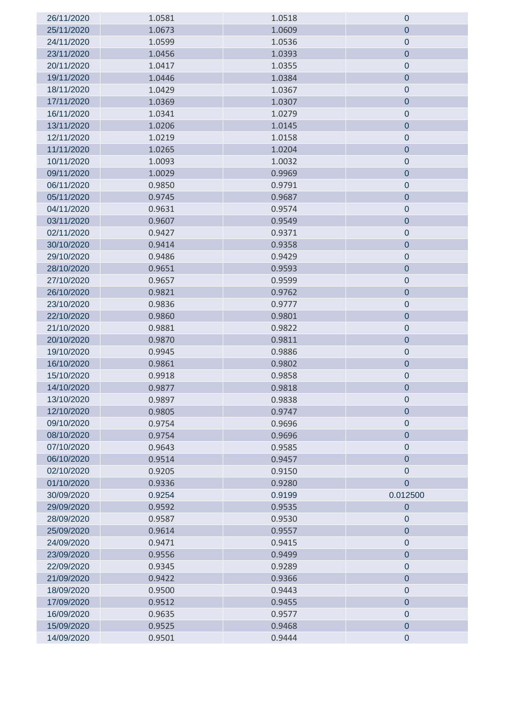| 26/11/2020 | 1.0581 | 1.0518 | $\theta$                    |
|------------|--------|--------|-----------------------------|
| 25/11/2020 | 1.0673 | 1.0609 | $\overline{0}$              |
| 24/11/2020 | 1.0599 | 1.0536 | $\pmb{0}$                   |
| 23/11/2020 | 1.0456 | 1.0393 | $\pmb{0}$                   |
| 20/11/2020 | 1.0417 | 1.0355 | $\pmb{0}$                   |
| 19/11/2020 | 1.0446 | 1.0384 | $\mathbf 0$                 |
| 18/11/2020 | 1.0429 | 1.0367 | $\pmb{0}$                   |
| 17/11/2020 | 1.0369 | 1.0307 | $\mathbf 0$                 |
| 16/11/2020 | 1.0341 | 1.0279 | $\pmb{0}$                   |
| 13/11/2020 | 1.0206 | 1.0145 | $\pmb{0}$                   |
| 12/11/2020 | 1.0219 | 1.0158 | $\pmb{0}$                   |
| 11/11/2020 | 1.0265 | 1.0204 | $\overline{0}$              |
| 10/11/2020 | 1.0093 | 1.0032 | $\pmb{0}$                   |
| 09/11/2020 | 1.0029 | 0.9969 | $\pmb{0}$                   |
| 06/11/2020 | 0.9850 | 0.9791 | $\pmb{0}$                   |
| 05/11/2020 | 0.9745 | 0.9687 | $\pmb{0}$                   |
| 04/11/2020 | 0.9631 | 0.9574 | $\pmb{0}$                   |
| 03/11/2020 | 0.9607 | 0.9549 | $\overline{0}$              |
| 02/11/2020 | 0.9427 | 0.9371 | $\pmb{0}$                   |
| 30/10/2020 | 0.9414 | 0.9358 | $\pmb{0}$                   |
| 29/10/2020 | 0.9486 | 0.9429 | $\pmb{0}$                   |
| 28/10/2020 | 0.9651 | 0.9593 | $\pmb{0}$                   |
| 27/10/2020 | 0.9657 | 0.9599 |                             |
| 26/10/2020 | 0.9821 | 0.9762 | $\pmb{0}$<br>$\overline{0}$ |
| 23/10/2020 | 0.9836 | 0.9777 | $\mathbf 0$                 |
| 22/10/2020 | 0.9860 | 0.9801 | $\pmb{0}$                   |
| 21/10/2020 | 0.9881 | 0.9822 | $\pmb{0}$                   |
| 20/10/2020 | 0.9870 | 0.9811 | $\pmb{0}$                   |
| 19/10/2020 | 0.9945 | 0.9886 | $\pmb{0}$                   |
| 16/10/2020 | 0.9861 | 0.9802 | $\mathbf 0$                 |
| 15/10/2020 | 0.9918 | 0.9858 | $\pmb{0}$                   |
| 14/10/2020 | 0.9877 | 0.9818 | $\pmb{0}$                   |
| 13/10/2020 | 0.9897 | 0.9838 | $\theta$                    |
| 12/10/2020 | 0.9805 | 0.9747 | $\overline{0}$              |
| 09/10/2020 | 0.9754 | 0.9696 | $\pmb{0}$                   |
| 08/10/2020 | 0.9754 | 0.9696 | $\mathbf 0$                 |
| 07/10/2020 | 0.9643 | 0.9585 | $\pmb{0}$                   |
| 06/10/2020 | 0.9514 | 0.9457 | $\overline{0}$              |
| 02/10/2020 | 0.9205 | 0.9150 | $\pmb{0}$                   |
| 01/10/2020 | 0.9336 | 0.9280 | $\overline{0}$              |
| 30/09/2020 | 0.9254 | 0.9199 | 0.012500                    |
| 29/09/2020 | 0.9592 | 0.9535 | $\pmb{0}$                   |
| 28/09/2020 | 0.9587 | 0.9530 | $\boldsymbol{0}$            |
| 25/09/2020 | 0.9614 | 0.9557 | $\overline{0}$              |
| 24/09/2020 | 0.9471 | 0.9415 | $\pmb{0}$                   |
| 23/09/2020 | 0.9556 | 0.9499 | $\pmb{0}$                   |
| 22/09/2020 | 0.9345 | 0.9289 | $\pmb{0}$                   |
| 21/09/2020 | 0.9422 | 0.9366 | $\pmb{0}$                   |
| 18/09/2020 | 0.9500 | 0.9443 | $\boldsymbol{0}$            |
| 17/09/2020 | 0.9512 | 0.9455 | $\overline{0}$              |
| 16/09/2020 | 0.9635 | 0.9577 | $\pmb{0}$                   |
| 15/09/2020 | 0.9525 | 0.9468 | $\pmb{0}$                   |
| 14/09/2020 | 0.9501 | 0.9444 | $\pmb{0}$                   |
|            |        |        |                             |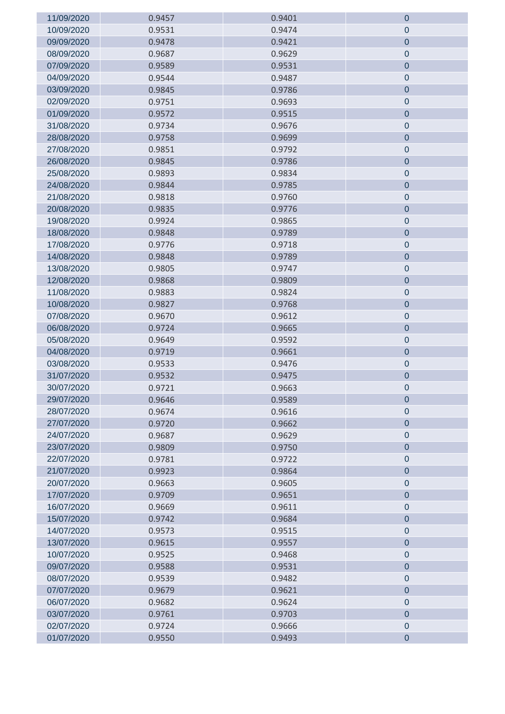| 11/09/2020               | 0.9457           | 0.9401           | $\theta$               |
|--------------------------|------------------|------------------|------------------------|
| 10/09/2020               | 0.9531           | 0.9474           | $\mathbf 0$            |
| 09/09/2020               | 0.9478           | 0.9421           | $\mathbf 0$            |
| 08/09/2020               | 0.9687           | 0.9629           | $\pmb{0}$              |
| 07/09/2020               | 0.9589           | 0.9531           | $\mathbf 0$            |
| 04/09/2020               | 0.9544           | 0.9487           | $\pmb{0}$              |
| 03/09/2020               | 0.9845           | 0.9786           | $\pmb{0}$              |
| 02/09/2020               | 0.9751           | 0.9693           | $\mathbf 0$            |
| 01/09/2020               | 0.9572           | 0.9515           | $\mathbf 0$            |
| 31/08/2020               | 0.9734           | 0.9676           | $\pmb{0}$              |
| 28/08/2020               | 0.9758           | 0.9699           | $\pmb{0}$              |
| 27/08/2020               | 0.9851           | 0.9792           | $\pmb{0}$              |
| 26/08/2020               | 0.9845           | 0.9786           | $\pmb{0}$              |
| 25/08/2020               | 0.9893           | 0.9834           | $\mathbf 0$            |
| 24/08/2020               | 0.9844           | 0.9785           | $\overline{0}$         |
| 21/08/2020               | 0.9818           | 0.9760           | $\pmb{0}$              |
| 20/08/2020               | 0.9835           | 0.9776           | $\pmb{0}$              |
| 19/08/2020               | 0.9924           | 0.9865           | $\pmb{0}$              |
| 18/08/2020               | 0.9848           | 0.9789           | $\pmb{0}$              |
| 17/08/2020               | 0.9776           | 0.9718           | $\pmb{0}$              |
| 14/08/2020               | 0.9848           | 0.9789           | $\overline{0}$         |
| 13/08/2020               | 0.9805           | 0.9747           | $\pmb{0}$              |
| 12/08/2020               | 0.9868           | 0.9809           | $\pmb{0}$              |
| 11/08/2020               | 0.9883           | 0.9824           | $\pmb{0}$              |
| 10/08/2020               |                  | 0.9768           | $\mathbf 0$            |
|                          | 0.9827           |                  |                        |
| 07/08/2020               | 0.9670<br>0.9724 | 0.9612           | $\pmb{0}$              |
| 06/08/2020<br>05/08/2020 | 0.9649           | 0.9665<br>0.9592 | $\pmb{0}$<br>$\pmb{0}$ |
| 04/08/2020               | 0.9719           | 0.9661           | $\pmb{0}$              |
| 03/08/2020               | 0.9533           | 0.9476           | $\pmb{0}$              |
| 31/07/2020               |                  | 0.9475           | $\pmb{0}$              |
|                          | 0.9532           |                  |                        |
| 30/07/2020               | 0.9721           | 0.9663           | $\pmb{0}$              |
| 29/07/2020               | 0.9646           | 0.9589           | $\theta$               |
| 28/07/2020               | 0.9674           | 0.9616           | $\mathbf 0$            |
| 27/07/2020               | 0.9720           | 0.9662           | $\overline{0}$         |
| 24/07/2020               | 0.9687           | 0.9629           | $\pmb{0}$              |
| 23/07/2020               | 0.9809           | 0.9750           | $\mathbf 0$            |
| 22/07/2020               | 0.9781           | 0.9722           | $\pmb{0}$              |
| 21/07/2020               | 0.9923           | 0.9864           | $\pmb{0}$              |
| 20/07/2020               | 0.9663           | 0.9605           | $\mathbf 0$            |
| 17/07/2020               | 0.9709           | 0.9651           | $\mathbf 0$            |
| 16/07/2020               | 0.9669           | 0.9611           | $\pmb{0}$              |
| 15/07/2020               | 0.9742           | 0.9684           | $\mathbf 0$            |
| 14/07/2020               | 0.9573           | 0.9515           | $\pmb{0}$              |
| 13/07/2020               | 0.9615           | 0.9557           | $\pmb{0}$              |
| 10/07/2020               | 0.9525           | 0.9468           | $\mathbf 0$            |
| 09/07/2020               | 0.9588           | 0.9531           | $\overline{0}$         |
| 08/07/2020               | 0.9539           | 0.9482           | $\pmb{0}$              |
| 07/07/2020               | 0.9679           | 0.9621           | $\pmb{0}$              |
| 06/07/2020               | 0.9682           | 0.9624           | $\pmb{0}$              |
| 03/07/2020               | 0.9761           | 0.9703           | $\pmb{0}$              |
| 02/07/2020               | 0.9724           | 0.9666           | $\pmb{0}$              |
| 01/07/2020               | 0.9550           | 0.9493           | $\overline{0}$         |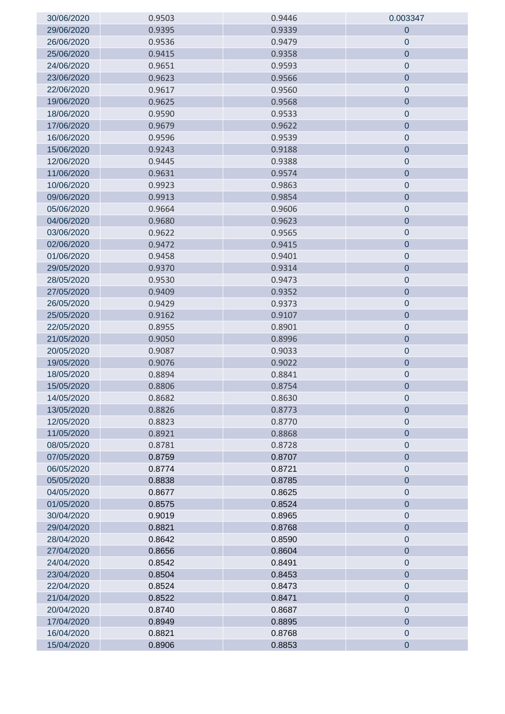| 30/06/2020 | 0.9503 | 0.9446 | 0.003347         |
|------------|--------|--------|------------------|
| 29/06/2020 | 0.9395 | 0.9339 | $\mathbf 0$      |
| 26/06/2020 | 0.9536 | 0.9479 | $\mathbf 0$      |
| 25/06/2020 | 0.9415 | 0.9358 | $\mathbf 0$      |
| 24/06/2020 | 0.9651 | 0.9593 | $\pmb{0}$        |
| 23/06/2020 | 0.9623 | 0.9566 | $\pmb{0}$        |
| 22/06/2020 | 0.9617 | 0.9560 | $\pmb{0}$        |
| 19/06/2020 | 0.9625 | 0.9568 | $\mathbf 0$      |
| 18/06/2020 | 0.9590 | 0.9533 | $\pmb{0}$        |
| 17/06/2020 | 0.9679 | 0.9622 | $\pmb{0}$        |
| 16/06/2020 | 0.9596 | 0.9539 | $\pmb{0}$        |
| 15/06/2020 | 0.9243 | 0.9188 | $\mathbf 0$      |
| 12/06/2020 | 0.9445 | 0.9388 | $\pmb{0}$        |
| 11/06/2020 | 0.9631 | 0.9574 | $\pmb{0}$        |
| 10/06/2020 | 0.9923 | 0.9863 | $\mathbf 0$      |
| 09/06/2020 | 0.9913 | 0.9854 | $\pmb{0}$        |
| 05/06/2020 | 0.9664 | 0.9606 | $\pmb{0}$        |
| 04/06/2020 | 0.9680 | 0.9623 | $\mathbf 0$      |
| 03/06/2020 | 0.9622 | 0.9565 | $\pmb{0}$        |
| 02/06/2020 | 0.9472 | 0.9415 | $\pmb{0}$        |
| 01/06/2020 | 0.9458 | 0.9401 | $\pmb{0}$        |
| 29/05/2020 | 0.9370 | 0.9314 | $\pmb{0}$        |
| 28/05/2020 | 0.9530 | 0.9473 | $\boldsymbol{0}$ |
| 27/05/2020 | 0.9409 | 0.9352 | $\overline{0}$   |
| 26/05/2020 | 0.9429 | 0.9373 | $\pmb{0}$        |
| 25/05/2020 | 0.9162 | 0.9107 | $\mathbf 0$      |
| 22/05/2020 | 0.8955 | 0.8901 | $\pmb{0}$        |
| 21/05/2020 | 0.9050 | 0.8996 | $\pmb{0}$        |
| 20/05/2020 | 0.9087 | 0.9033 | $\pmb{0}$        |
| 19/05/2020 | 0.9076 | 0.9022 | $\pmb{0}$        |
| 18/05/2020 | 0.8894 | 0.8841 | $\pmb{0}$        |
| 15/05/2020 | 0.8806 | 0.8754 | $\mathbf 0$      |
| 14/05/2020 | 0.8682 | 0.8630 | $\mathbf 0$      |
| 13/05/2020 | 0.8826 | 0.8773 | $\mathbf 0$      |
| 12/05/2020 | 0.8823 | 0.8770 | $\mathbf 0$      |
| 11/05/2020 | 0.8921 | 0.8868 | $\pmb{0}$        |
| 08/05/2020 | 0.8781 | 0.8728 | $\pmb{0}$        |
| 07/05/2020 | 0.8759 | 0.8707 | $\mathbf 0$      |
| 06/05/2020 | 0.8774 | 0.8721 | $\pmb{0}$        |
| 05/05/2020 | 0.8838 | 0.8785 | $\overline{0}$   |
| 04/05/2020 | 0.8677 | 0.8625 | $\pmb{0}$        |
| 01/05/2020 | 0.8575 | 0.8524 | $\pmb{0}$        |
| 30/04/2020 | 0.9019 | 0.8965 | $\mathbf 0$      |
| 29/04/2020 | 0.8821 | 0.8768 | $\pmb{0}$        |
| 28/04/2020 | 0.8642 | 0.8590 | $\mathbf 0$      |
| 27/04/2020 | 0.8656 | 0.8604 | $\overline{0}$   |
| 24/04/2020 | 0.8542 | 0.8491 | $\pmb{0}$        |
| 23/04/2020 | 0.8504 | 0.8453 | $\mathbf 0$      |
| 22/04/2020 | 0.8524 | 0.8473 | $\pmb{0}$        |
| 21/04/2020 | 0.8522 | 0.8471 | $\pmb{0}$        |
| 20/04/2020 | 0.8740 | 0.8687 | $\mathbf 0$      |
| 17/04/2020 | 0.8949 | 0.8895 | $\pmb{0}$        |
| 16/04/2020 | 0.8821 | 0.8768 | $\pmb{0}$        |
| 15/04/2020 | 0.8906 | 0.8853 | $\pmb{0}$        |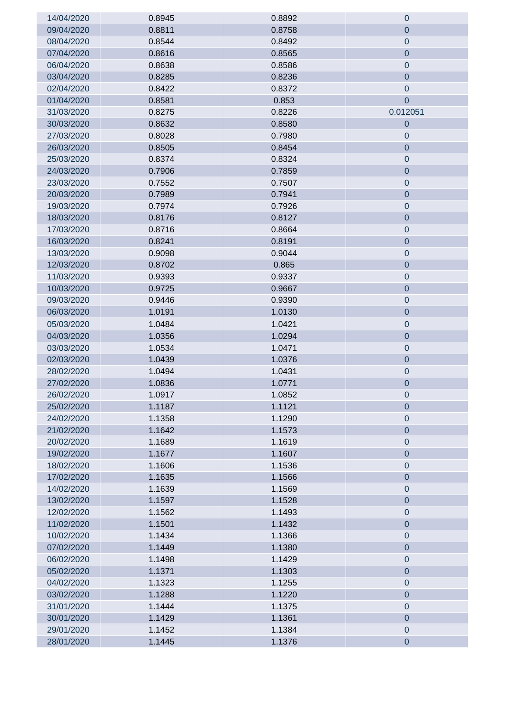| 14/04/2020 | 0.8945 | 0.8892 | $\mathbf 0$    |
|------------|--------|--------|----------------|
| 09/04/2020 | 0.8811 | 0.8758 | $\mathbf 0$    |
| 08/04/2020 | 0.8544 | 0.8492 | $\mathbf 0$    |
| 07/04/2020 | 0.8616 | 0.8565 | $\mathbf 0$    |
| 06/04/2020 | 0.8638 | 0.8586 | $\theta$       |
| 03/04/2020 | 0.8285 | 0.8236 | $\mathbf 0$    |
| 02/04/2020 | 0.8422 | 0.8372 | $\mathbf 0$    |
| 01/04/2020 | 0.8581 | 0.853  | $\overline{0}$ |
| 31/03/2020 | 0.8275 | 0.8226 | 0.012051       |
| 30/03/2020 | 0.8632 | 0.8580 | $\mathbf 0$    |
| 27/03/2020 | 0.8028 | 0.7980 | $\mathbf 0$    |
| 26/03/2020 | 0.8505 | 0.8454 | $\mathbf 0$    |
| 25/03/2020 | 0.8374 | 0.8324 | $\mathbf 0$    |
| 24/03/2020 | 0.7906 | 0.7859 | $\mathbf 0$    |
| 23/03/2020 | 0.7552 | 0.7507 | $\mathbf 0$    |
| 20/03/2020 | 0.7989 | 0.7941 | $\mathbf 0$    |
| 19/03/2020 | 0.7974 | 0.7926 | $\mathbf 0$    |
| 18/03/2020 | 0.8176 | 0.8127 | $\mathbf 0$    |
| 17/03/2020 | 0.8716 | 0.8664 | $\mathbf 0$    |
| 16/03/2020 | 0.8241 | 0.8191 | $\mathbf 0$    |
| 13/03/2020 | 0.9098 | 0.9044 | $\mathbf 0$    |
| 12/03/2020 | 0.8702 | 0.865  | $\mathbf 0$    |
| 11/03/2020 | 0.9393 | 0.9337 | $\mathbf 0$    |
| 10/03/2020 | 0.9725 | 0.9667 | $\mathbf 0$    |
| 09/03/2020 | 0.9446 | 0.9390 | $\mathbf 0$    |
| 06/03/2020 | 1.0191 | 1.0130 | $\overline{0}$ |
| 05/03/2020 | 1.0484 | 1.0421 | $\mathbf 0$    |
| 04/03/2020 | 1.0356 | 1.0294 | $\mathbf 0$    |
| 03/03/2020 | 1.0534 | 1.0471 | $\mathbf 0$    |
| 02/03/2020 | 1.0439 | 1.0376 | $\mathbf 0$    |
| 28/02/2020 | 1.0494 | 1.0431 | $\pmb{0}$      |
| 27/02/2020 | 1.0836 | 1.0771 | $\overline{0}$ |
| 26/02/2020 | 1.0917 | 1.0852 | $\pmb{0}$      |
| 25/02/2020 | 1.1187 | 1.1121 | $\mathbf 0$    |
| 24/02/2020 | 1.1358 | 1.1290 | $\mathbf 0$    |
| 21/02/2020 | 1.1642 | 1.1573 | $\mathbf 0$    |
| 20/02/2020 | 1.1689 | 1.1619 | $\mathbf 0$    |
| 19/02/2020 | 1.1677 | 1.1607 | $\mathbf 0$    |
| 18/02/2020 | 1.1606 | 1.1536 | $\mathbf 0$    |
| 17/02/2020 | 1.1635 | 1.1566 | $\overline{0}$ |
| 14/02/2020 | 1.1639 | 1.1569 | $\pmb{0}$      |
| 13/02/2020 | 1.1597 | 1.1528 | $\overline{0}$ |
| 12/02/2020 | 1.1562 | 1.1493 | $\mathbf 0$    |
| 11/02/2020 | 1.1501 | 1.1432 | $\pmb{0}$      |
| 10/02/2020 | 1.1434 | 1.1366 | $\mathbf 0$    |
| 07/02/2020 | 1.1449 | 1.1380 | $\pmb{0}$      |
| 06/02/2020 | 1.1498 | 1.1429 | $\mathbf 0$    |
| 05/02/2020 | 1.1371 | 1.1303 | $\overline{0}$ |
| 04/02/2020 | 1.1323 | 1.1255 | $\pmb{0}$      |
| 03/02/2020 | 1.1288 | 1.1220 | $\mathbf 0$    |
| 31/01/2020 | 1.1444 | 1.1375 | $\pmb{0}$      |
| 30/01/2020 | 1.1429 | 1.1361 | $\mathbf 0$    |
| 29/01/2020 | 1.1452 | 1.1384 | $\mathbf 0$    |
| 28/01/2020 | 1.1445 | 1.1376 | $\pmb{0}$      |
|            |        |        |                |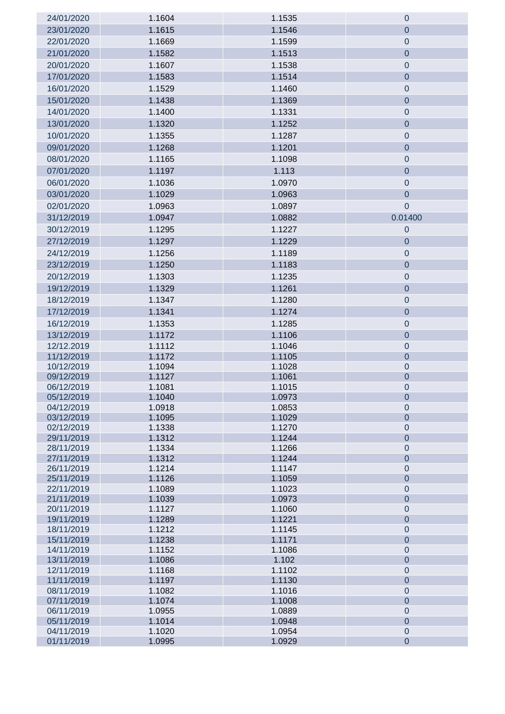| 24/01/2020               | 1.1604           | 1.1535           | $\mathbf 0$                |
|--------------------------|------------------|------------------|----------------------------|
| 23/01/2020               | 1.1615           | 1.1546           | $\mathbf 0$                |
| 22/01/2020               | 1.1669           | 1.1599           | $\pmb{0}$                  |
| 21/01/2020               | 1.1582           | 1.1513           | $\overline{0}$             |
| 20/01/2020               | 1.1607           | 1.1538           | $\boldsymbol{0}$           |
| 17/01/2020               | 1.1583           | 1.1514           | $\pmb{0}$                  |
| 16/01/2020               | 1.1529           | 1.1460           | $\pmb{0}$                  |
| 15/01/2020               | 1.1438           | 1.1369           | $\pmb{0}$                  |
| 14/01/2020               | 1.1400           | 1.1331           | $\boldsymbol{0}$           |
| 13/01/2020               | 1.1320           | 1.1252           | $\overline{0}$             |
| 10/01/2020               | 1.1355           | 1.1287           | $\pmb{0}$                  |
| 09/01/2020               | 1.1268           | 1.1201           | $\pmb{0}$                  |
| 08/01/2020               | 1.1165           | 1.1098           | $\pmb{0}$                  |
| 07/01/2020               | 1.1197           | 1.113            | $\pmb{0}$                  |
| 06/01/2020               | 1.1036           | 1.0970           | $\mathbf 0$                |
| 03/01/2020               |                  | 1.0963           | $\pmb{0}$                  |
|                          | 1.1029           |                  |                            |
| 02/01/2020               | 1.0963           | 1.0897           | $\overline{0}$             |
| 31/12/2019               | 1.0947           | 1.0882           | 0.01400                    |
| 30/12/2019               | 1.1295           | 1.1227           | $\mathbf 0$                |
| 27/12/2019               | 1.1297           | 1.1229           | $\mathbf 0$                |
| 24/12/2019               | 1.1256           | 1.1189           | $\pmb{0}$                  |
| 23/12/2019               | 1.1250           | 1.1183           | $\pmb{0}$                  |
| 20/12/2019               | 1.1303           | 1.1235           | $\pmb{0}$                  |
| 19/12/2019               | 1.1329           | 1.1261           | $\pmb{0}$                  |
| 18/12/2019               | 1.1347           | 1.1280           | $\pmb{0}$                  |
| 17/12/2019               | 1.1341           | 1.1274           | $\pmb{0}$                  |
| 16/12/2019               | 1.1353           | 1.1285           | $\pmb{0}$                  |
| 13/12/2019               | 1.1172           | 1.1106           | $\pmb{0}$                  |
| 12/12.2019               | 1.1112           | 1.1046           | $\mathbf 0$                |
| 11/12/2019               | 1.1172           | 1.1105           | $\mathbf 0$                |
| 10/12/2019               | 1.1094           | 1.1028           | $\mathbf 0$                |
| 09/12/2019<br>06/12/2019 | 1.1127<br>1.1081 | 1.1061<br>1.1015 | $\mathbf 0$<br>0           |
| 05/12/2019               | 1.1040           | 1.0973           | 0                          |
| 04/12/2019               | 1.0918           | 1.0853           | $\mathbf 0$                |
| 03/12/2019               | 1.1095           | 1.1029           | $\overline{0}$             |
| 02/12/2019               | 1.1338           | 1.1270           | $\mathbf 0$                |
| 29/11/2019               | 1.1312           | 1.1244           | $\overline{0}$             |
| 28/11/2019               | 1.1334           | 1.1266           | $\pmb{0}$                  |
| 27/11/2019               | 1.1312           | 1.1244           | $\mathbf 0$                |
| 26/11/2019<br>25/11/2019 | 1.1214<br>1.1126 | 1.1147<br>1.1059 | $\pmb{0}$<br>$\mathbf 0$   |
| 22/11/2019               | 1.1089           | 1.1023           | $\pmb{0}$                  |
| 21/11/2019               | 1.1039           | 1.0973           | $\mathbf 0$                |
| 20/11/2019               | 1.1127           | 1.1060           | $\pmb{0}$                  |
| 19/11/2019               | 1.1289           | 1.1221           | $\mathbf 0$                |
| 18/11/2019               | 1.1212           | 1.1145           | $\pmb{0}$                  |
| 15/11/2019               | 1.1238           | 1.1171           | $\mathbf 0$                |
| 14/11/2019               | 1.1152           | 1.1086           | $\pmb{0}$                  |
| 13/11/2019<br>12/11/2019 | 1.1086<br>1.1168 | 1.102<br>1.1102  | $\mathbf 0$<br>$\mathbf 0$ |
| 11/11/2019               | 1.1197           | 1.1130           | $\mathbf 0$                |
| 08/11/2019               | 1.1082           | 1.1016           | $\mathbf 0$                |
| 07/11/2019               | 1.1074           | 1.1008           | $\mathbf 0$                |
| 06/11/2019               | 1.0955           | 1.0889           | $\mathbf 0$                |
| 05/11/2019               | 1.1014           | 1.0948           | $\mathbf 0$                |
| 04/11/2019               | 1.1020           | 1.0954           | $\pmb{0}$                  |
| 01/11/2019               | 1.0995           | 1.0929           | $\mathbf 0$                |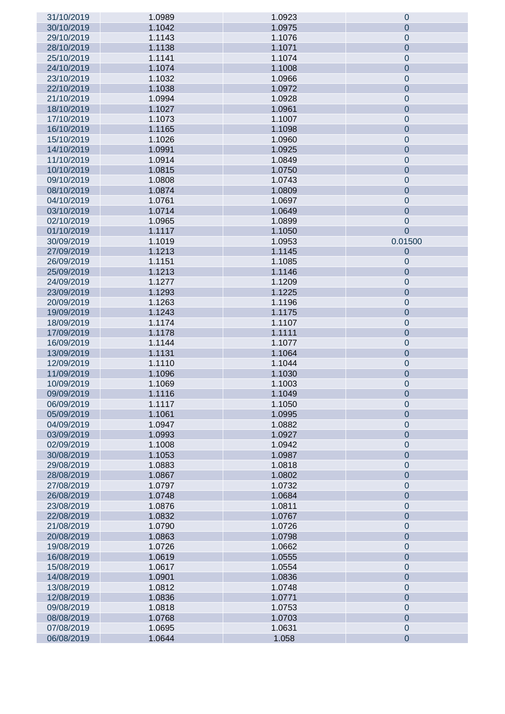| 31/10/2019 | 1.0989 | 1.0923 | $\mathbf 0$      |
|------------|--------|--------|------------------|
| 30/10/2019 | 1.1042 | 1.0975 | $\overline{0}$   |
| 29/10/2019 | 1.1143 | 1.1076 | $\mathbf 0$      |
| 28/10/2019 | 1.1138 | 1.1071 | $\mathbf 0$      |
| 25/10/2019 | 1.1141 | 1.1074 | $\mathbf 0$      |
| 24/10/2019 | 1.1074 | 1.1008 | $\mathbf 0$      |
| 23/10/2019 | 1.1032 | 1.0966 | $\mathbf 0$      |
| 22/10/2019 | 1.1038 | 1.0972 | $\mathbf 0$      |
| 21/10/2019 | 1.0994 | 1.0928 |                  |
|            |        |        | $\mathbf 0$      |
| 18/10/2019 | 1.1027 | 1.0961 | $\mathbf 0$      |
| 17/10/2019 | 1.1073 | 1.1007 | $\mathbf 0$      |
| 16/10/2019 | 1.1165 | 1.1098 | $\mathbf 0$      |
| 15/10/2019 | 1.1026 | 1.0960 | $\mathbf 0$      |
| 14/10/2019 | 1.0991 | 1.0925 | $\mathbf 0$      |
| 11/10/2019 | 1.0914 | 1.0849 | $\mathbf 0$      |
| 10/10/2019 | 1.0815 | 1.0750 | $\mathbf 0$      |
| 09/10/2019 | 1.0808 | 1.0743 | $\mathbf 0$      |
| 08/10/2019 | 1.0874 | 1.0809 | $\mathbf 0$      |
| 04/10/2019 | 1.0761 | 1.0697 | $\mathbf 0$      |
| 03/10/2019 | 1.0714 | 1.0649 | $\mathbf 0$      |
| 02/10/2019 | 1.0965 | 1.0899 | $\mathbf 0$      |
| 01/10/2019 | 1.1117 | 1.1050 | $\overline{0}$   |
| 30/09/2019 | 1.1019 | 1.0953 | 0.01500          |
| 27/09/2019 | 1.1213 | 1.1145 | $\mathbf 0$      |
| 26/09/2019 | 1.1151 | 1.1085 | $\mathbf 0$      |
| 25/09/2019 | 1.1213 | 1.1146 |                  |
|            |        |        | $\mathbf 0$      |
| 24/09/2019 | 1.1277 | 1.1209 | $\mathbf 0$      |
| 23/09/2019 | 1.1293 | 1.1225 | $\mathbf 0$      |
| 20/09/2019 | 1.1263 | 1.1196 | $\mathbf 0$      |
| 19/09/2019 | 1.1243 | 1.1175 | $\mathbf 0$      |
| 18/09/2019 | 1.1174 | 1.1107 | $\boldsymbol{0}$ |
| 17/09/2019 | 1.1178 | 1.1111 | $\mathbf 0$      |
| 16/09/2019 | 1.1144 | 1.1077 | $\boldsymbol{0}$ |
| 13/09/2019 | 1.1131 | 1.1064 | $\mathbf 0$      |
| 12/09/2019 | 1.1110 | 1.1044 | $\boldsymbol{0}$ |
| 11/09/2019 | 1.1096 | 1.1030 | $\mathbf 0$      |
| 10/09/2019 | 1.1069 | 1.1003 | $\boldsymbol{0}$ |
| 09/09/2019 | 1.1116 | 1.1049 | $\mathbf 0$      |
| 06/09/2019 | 1.1117 | 1.1050 | 0                |
| 05/09/2019 | 1.1061 | 1.0995 | $\overline{0}$   |
| 04/09/2019 | 1.0947 | 1.0882 | $\mathbf 0$      |
| 03/09/2019 | 1.0993 | 1.0927 | $\overline{0}$   |
| 02/09/2019 | 1.1008 | 1.0942 | $\mathbf 0$      |
| 30/08/2019 | 1.1053 | 1.0987 | $\mathbf 0$      |
| 29/08/2019 | 1.0883 | 1.0818 | $\mathbf 0$      |
| 28/08/2019 | 1.0867 | 1.0802 | $\mathbf 0$      |
|            |        |        |                  |
| 27/08/2019 | 1.0797 | 1.0732 | $\mathbf 0$      |
| 26/08/2019 | 1.0748 | 1.0684 | $\mathbf 0$      |
| 23/08/2019 | 1.0876 | 1.0811 | $\mathbf 0$      |
| 22/08/2019 | 1.0832 | 1.0767 | $\overline{0}$   |
| 21/08/2019 | 1.0790 | 1.0726 | $\mathbf 0$      |
| 20/08/2019 | 1.0863 | 1.0798 | $\overline{0}$   |
| 19/08/2019 | 1.0726 | 1.0662 | $\mathbf 0$      |
| 16/08/2019 | 1.0619 | 1.0555 | $\mathbf 0$      |
| 15/08/2019 | 1.0617 | 1.0554 | $\mathbf 0$      |
| 14/08/2019 | 1.0901 | 1.0836 | $\mathbf 0$      |
| 13/08/2019 | 1.0812 | 1.0748 | $\mathbf 0$      |
| 12/08/2019 | 1.0836 | 1.0771 | $\mathbf 0$      |
| 09/08/2019 | 1.0818 | 1.0753 | $\mathbf 0$      |
| 08/08/2019 | 1.0768 | 1.0703 | $\mathbf{0}$     |
| 07/08/2019 | 1.0695 | 1.0631 | $\mathbf 0$      |
| 06/08/2019 | 1.0644 | 1.058  | $\mathbf 0$      |
|            |        |        |                  |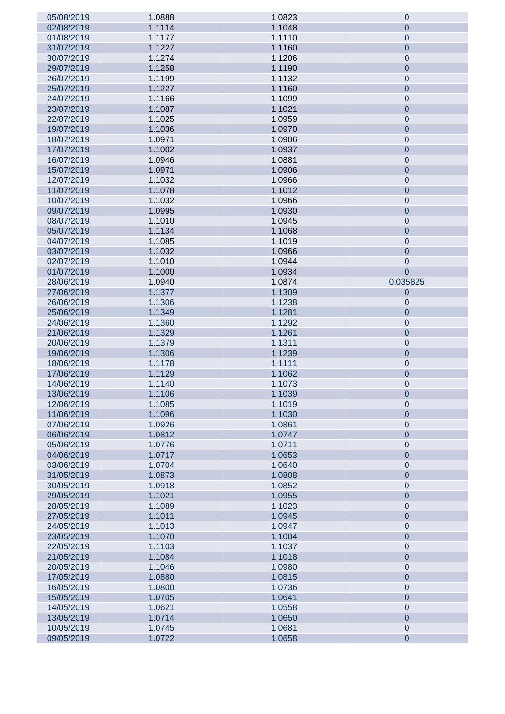| 05/08/2019               | 1.0888 | 1.0823 | 0              |
|--------------------------|--------|--------|----------------|
| 02/08/2019               | 1.1114 | 1.1048 | $\overline{0}$ |
| 01/08/2019               | 1.1177 | 1.1110 | $\pmb{0}$      |
| 31/07/2019               | 1.1227 | 1.1160 | $\mathbf 0$    |
| 30/07/2019               | 1.1274 | 1.1206 | $\mathbf 0$    |
| 29/07/2019               | 1.1258 | 1.1190 | $\mathbf 0$    |
| 26/07/2019               | 1.1199 | 1.1132 | $\pmb{0}$      |
| 25/07/2019               | 1.1227 | 1.1160 | $\mathbf 0$    |
| 24/07/2019               | 1.1166 | 1.1099 | $\pmb{0}$      |
| 23/07/2019               | 1.1087 | 1.1021 | $\mathbf 0$    |
| 22/07/2019               | 1.1025 | 1.0959 | $\pmb{0}$      |
| 19/07/2019               | 1.1036 | 1.0970 | $\mathbf 0$    |
| 18/07/2019               | 1.0971 | 1.0906 | $\pmb{0}$      |
| 17/07/2019               | 1.1002 | 1.0937 | $\mathbf 0$    |
| 16/07/2019               | 1.0946 | 1.0881 | $\pmb{0}$      |
| 15/07/2019               | 1.0971 | 1.0906 | $\mathbf 0$    |
| 12/07/2019               | 1.1032 | 1.0966 | $\pmb{0}$      |
| 11/07/2019               | 1.1078 | 1.1012 | $\mathbf 0$    |
| 10/07/2019               | 1.1032 | 1.0966 | $\pmb{0}$      |
| 09/07/2019               | 1.0995 | 1.0930 | $\mathbf 0$    |
| 08/07/2019               | 1.1010 | 1.0945 | $\pmb{0}$      |
| 05/07/2019               | 1.1134 | 1.1068 | $\mathbf 0$    |
| 04/07/2019               | 1.1085 | 1.1019 | $\pmb{0}$      |
| 03/07/2019               | 1.1032 | 1.0966 | $\mathbf 0$    |
| 02/07/2019               | 1.1010 | 1.0944 | $\mathbf 0$    |
| 01/07/2019               | 1.1000 | 1.0934 | $\overline{0}$ |
| 28/06/2019               | 1.0940 | 1.0874 | 0.035825       |
| 27/06/2019               | 1.1377 | 1.1309 | 0              |
| 26/06/2019               | 1.1306 | 1.1238 | $\pmb{0}$      |
| 25/06/2019               | 1.1349 | 1.1281 | $\mathbf 0$    |
| 24/06/2019               | 1.1360 | 1.1292 | $\mathbf 0$    |
| 21/06/2019               | 1.1329 | 1.1261 |                |
|                          |        |        | $\mathbf 0$    |
| 20/06/2019               | 1.1379 | 1.1311 | $\mathbf 0$    |
| 19/06/2019               | 1.1306 | 1.1239 | $\mathbf 0$    |
| 18/06/2019               | 1.1178 | 1.1111 | $\mathbf 0$    |
| 17/06/2019<br>14/06/2019 | 1.1129 | 1.1062 | $\mathbf 0$    |
|                          | 1.1140 | 1.1073 | $\pmb{0}$      |
| 13/06/2019               | 1.1106 | 1.1039 | $\mathbf 0$    |
| 12/06/2019               | 1.1085 | 1.1019 | $\mathbf 0$    |
| 11/06/2019               | 1.1096 | 1.1030 | $\overline{0}$ |
| 07/06/2019               | 1.0926 | 1.0861 | $\mathbf 0$    |
| 06/06/2019               | 1.0812 | 1.0747 | $\overline{0}$ |
| 05/06/2019               | 1.0776 | 1.0711 | $\mathbf 0$    |
| 04/06/2019               | 1.0717 | 1.0653 | $\overline{0}$ |
| 03/06/2019               | 1.0704 | 1.0640 | $\mathbf 0$    |
| 31/05/2019               | 1.0873 | 1.0808 | $\overline{0}$ |
| 30/05/2019               | 1.0918 | 1.0852 | $\mathbf 0$    |
| 29/05/2019               | 1.1021 | 1.0955 | $\overline{0}$ |
| 28/05/2019               | 1.1089 | 1.1023 | $\mathbf 0$    |
| 27/05/2019               | 1.1011 | 1.0945 | $\overline{0}$ |
| 24/05/2019               | 1.1013 | 1.0947 | $\mathbf 0$    |
| 23/05/2019               | 1.1070 | 1.1004 | $\overline{0}$ |
| 22/05/2019               | 1.1103 | 1.1037 | $\mathbf 0$    |
| 21/05/2019               | 1.1084 | 1.1018 | $\overline{0}$ |
| 20/05/2019               | 1.1046 | 1.0980 | $\mathbf 0$    |
| 17/05/2019               | 1.0880 | 1.0815 | $\overline{0}$ |
| 16/05/2019               | 1.0800 | 1.0736 | $\mathbf 0$    |
| 15/05/2019               | 1.0705 | 1.0641 | $\overline{0}$ |
| 14/05/2019               | 1.0621 | 1.0558 | $\mathbf 0$    |
| 13/05/2019               | 1.0714 | 1.0650 | $\overline{0}$ |
| 10/05/2019               | 1.0745 | 1.0681 | $\mathbf 0$    |
| 09/05/2019               | 1.0722 | 1.0658 | $\mathbf 0$    |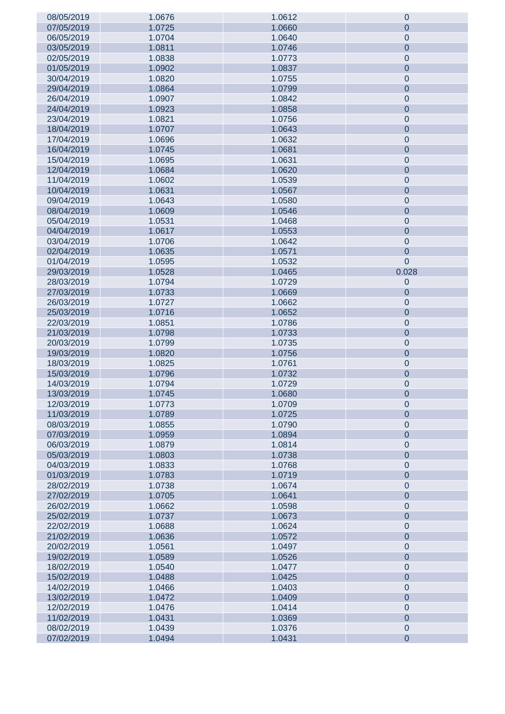| 08/05/2019 | 1.0676 | 1.0612 | 0                |
|------------|--------|--------|------------------|
| 07/05/2019 | 1.0725 | 1.0660 | $\overline{0}$   |
| 06/05/2019 | 1.0704 | 1.0640 | $\pmb{0}$        |
| 03/05/2019 | 1.0811 | 1.0746 | $\overline{0}$   |
| 02/05/2019 | 1.0838 | 1.0773 | $\pmb{0}$        |
| 01/05/2019 | 1.0902 | 1.0837 | $\overline{0}$   |
| 30/04/2019 | 1.0820 | 1.0755 | $\pmb{0}$        |
| 29/04/2019 | 1.0864 | 1.0799 | $\overline{0}$   |
| 26/04/2019 | 1.0907 | 1.0842 | $\pmb{0}$        |
| 24/04/2019 | 1.0923 | 1.0858 | $\overline{0}$   |
|            |        | 1.0756 |                  |
| 23/04/2019 | 1.0821 |        | $\pmb{0}$        |
| 18/04/2019 | 1.0707 | 1.0643 | $\mathbf 0$      |
| 17/04/2019 | 1.0696 | 1.0632 | $\pmb{0}$        |
| 16/04/2019 | 1.0745 | 1.0681 | $\overline{0}$   |
| 15/04/2019 | 1.0695 | 1.0631 | $\pmb{0}$        |
| 12/04/2019 | 1.0684 | 1.0620 | $\overline{0}$   |
| 11/04/2019 | 1.0602 | 1.0539 | $\pmb{0}$        |
| 10/04/2019 | 1.0631 | 1.0567 | $\mathbf 0$      |
| 09/04/2019 | 1.0643 | 1.0580 | $\pmb{0}$        |
| 08/04/2019 | 1.0609 | 1.0546 | $\overline{0}$   |
| 05/04/2019 | 1.0531 | 1.0468 | $\pmb{0}$        |
| 04/04/2019 | 1.0617 | 1.0553 | $\mathbf 0$      |
| 03/04/2019 | 1.0706 | 1.0642 | $\pmb{0}$        |
| 02/04/2019 | 1.0635 | 1.0571 | $\mathbf 0$      |
| 01/04/2019 | 1.0595 | 1.0532 | $\overline{0}$   |
| 29/03/2019 | 1.0528 | 1.0465 | 0.028            |
| 28/03/2019 | 1.0794 | 1.0729 | 0                |
| 27/03/2019 | 1.0733 | 1.0669 | $\mathbf 0$      |
|            |        |        |                  |
| 26/03/2019 | 1.0727 | 1.0662 | $\boldsymbol{0}$ |
| 25/03/2019 | 1.0716 | 1.0652 | $\mathbf 0$      |
| 22/03/2019 | 1.0851 | 1.0786 | $\boldsymbol{0}$ |
| 21/03/2019 | 1.0798 | 1.0733 | $\mathbf 0$      |
| 20/03/2019 | 1.0799 | 1.0735 | $\boldsymbol{0}$ |
| 19/03/2019 | 1.0820 | 1.0756 | $\mathbf 0$      |
| 18/03/2019 | 1.0825 | 1.0761 | $\pmb{0}$        |
| 15/03/2019 | 1.0796 | 1.0732 | $\mathbf 0$      |
| 14/03/2019 | 1.0794 | 1.0729 | $\pmb{0}$        |
| 13/03/2019 | 1.0745 | 1.0680 | $\mathbf 0$      |
| 12/03/2019 | 1.0773 | 1.0709 | $\mathbf 0$      |
| 11/03/2019 | 1.0789 | 1.0725 | $\overline{0}$   |
| 08/03/2019 | 1.0855 | 1.0790 | $\boldsymbol{0}$ |
| 07/03/2019 | 1.0959 | 1.0894 | $\overline{0}$   |
| 06/03/2019 | 1.0879 | 1.0814 | $\boldsymbol{0}$ |
| 05/03/2019 | 1.0803 | 1.0738 | $\overline{0}$   |
| 04/03/2019 | 1.0833 | 1.0768 | $\boldsymbol{0}$ |
| 01/03/2019 | 1.0783 | 1.0719 | $\overline{0}$   |
| 28/02/2019 | 1.0738 | 1.0674 | $\boldsymbol{0}$ |
| 27/02/2019 | 1.0705 | 1.0641 | $\overline{0}$   |
| 26/02/2019 | 1.0662 | 1.0598 | $\boldsymbol{0}$ |
| 25/02/2019 | 1.0737 | 1.0673 | $\overline{0}$   |
| 22/02/2019 | 1.0688 | 1.0624 | $\boldsymbol{0}$ |
| 21/02/2019 | 1.0636 | 1.0572 | $\overline{0}$   |
| 20/02/2019 | 1.0561 | 1.0497 | $\boldsymbol{0}$ |
| 19/02/2019 | 1.0589 | 1.0526 | $\overline{0}$   |
| 18/02/2019 | 1.0540 | 1.0477 | $\boldsymbol{0}$ |
| 15/02/2019 | 1.0488 | 1.0425 | $\overline{0}$   |
|            |        |        |                  |
| 14/02/2019 | 1.0466 | 1.0403 | $\boldsymbol{0}$ |
| 13/02/2019 | 1.0472 | 1.0409 | $\overline{0}$   |
| 12/02/2019 | 1.0476 | 1.0414 | $\boldsymbol{0}$ |
| 11/02/2019 | 1.0431 | 1.0369 | $\overline{0}$   |
| 08/02/2019 | 1.0439 | 1.0376 | $\pmb{0}$        |
| 07/02/2019 | 1.0494 | 1.0431 | $\pmb{0}$        |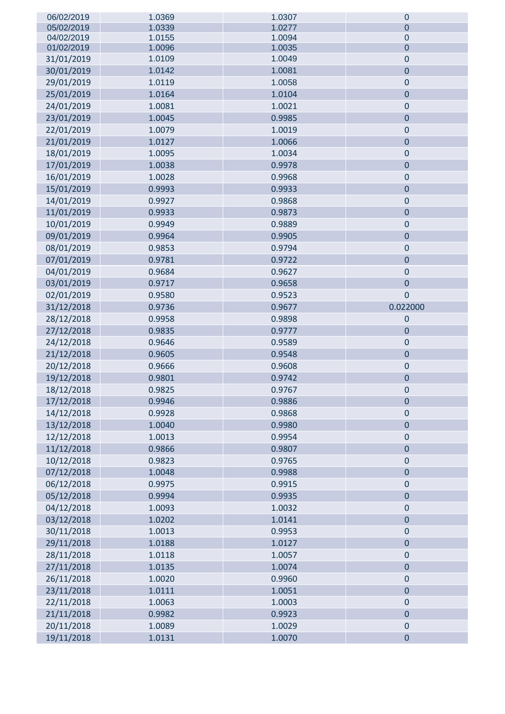| 06/02/2019 | 1.0369 | 1.0307 | $\mathbf 0$    |
|------------|--------|--------|----------------|
| 05/02/2019 | 1.0339 | 1.0277 | $\overline{0}$ |
| 04/02/2019 | 1.0155 | 1.0094 | $\mathbf{0}$   |
| 01/02/2019 | 1.0096 | 1.0035 | $\mathbf 0$    |
| 31/01/2019 | 1.0109 | 1.0049 | $\pmb{0}$      |
| 30/01/2019 | 1.0142 | 1.0081 | $\mathbf 0$    |
| 29/01/2019 | 1.0119 | 1.0058 | $\mathbf 0$    |
| 25/01/2019 | 1.0164 | 1.0104 | $\pmb{0}$      |
| 24/01/2019 | 1.0081 | 1.0021 | $\pmb{0}$      |
| 23/01/2019 | 1.0045 | 0.9985 | $\pmb{0}$      |
| 22/01/2019 | 1.0079 | 1.0019 | $\pmb{0}$      |
| 21/01/2019 | 1.0127 | 1.0066 | $\pmb{0}$      |
| 18/01/2019 | 1.0095 | 1.0034 | $\pmb{0}$      |
| 17/01/2019 | 1.0038 | 0.9978 | $\mathbf 0$    |
| 16/01/2019 | 1.0028 | 0.9968 | $\mathbf 0$    |
|            |        |        | $\pmb{0}$      |
| 15/01/2019 | 0.9993 | 0.9933 |                |
| 14/01/2019 | 0.9927 | 0.9868 | $\pmb{0}$      |
| 11/01/2019 | 0.9933 | 0.9873 | $\pmb{0}$      |
| 10/01/2019 | 0.9949 | 0.9889 | $\pmb{0}$      |
| 09/01/2019 | 0.9964 | 0.9905 | $\mathbf 0$    |
| 08/01/2019 | 0.9853 | 0.9794 | $\mathbf 0$    |
| 07/01/2019 | 0.9781 | 0.9722 | $\pmb{0}$      |
| 04/01/2019 | 0.9684 | 0.9627 | $\pmb{0}$      |
| 03/01/2019 | 0.9717 | 0.9658 | $\pmb{0}$      |
| 02/01/2019 | 0.9580 | 0.9523 | $\pmb{0}$      |
| 31/12/2018 | 0.9736 | 0.9677 | 0.022000       |
| 28/12/2018 | 0.9958 | 0.9898 | $\mathbf 0$    |
| 27/12/2018 | 0.9835 | 0.9777 | $\mathbf 0$    |
| 24/12/2018 | 0.9646 | 0.9589 | $\pmb{0}$      |
| 21/12/2018 | 0.9605 | 0.9548 | $\pmb{0}$      |
| 20/12/2018 | 0.9666 | 0.9608 | $\pmb{0}$      |
| 19/12/2018 | 0.9801 | 0.9742 | $\overline{0}$ |
| 18/12/2018 | 0.9825 | 0.9767 | 0              |
| 17/12/2018 | 0.9946 | 0.9886 | $\mathbf 0$    |
| 14/12/2018 | 0.9928 | 0.9868 | $\mathbf 0$    |
| 13/12/2018 | 1.0040 | 0.9980 | $\pmb{0}$      |
| 12/12/2018 | 1.0013 | 0.9954 | $\pmb{0}$      |
| 11/12/2018 | 0.9866 | 0.9807 | $\overline{0}$ |
| 10/12/2018 | 0.9823 | 0.9765 | $\pmb{0}$      |
| 07/12/2018 | 1.0048 | 0.9988 | $\pmb{0}$      |
| 06/12/2018 | 0.9975 | 0.9915 | $\pmb{0}$      |
| 05/12/2018 | 0.9994 | 0.9935 | $\pmb{0}$      |
| 04/12/2018 | 1.0093 | 1.0032 | $\pmb{0}$      |
| 03/12/2018 | 1.0202 | 1.0141 | $\pmb{0}$      |
| 30/11/2018 | 1.0013 | 0.9953 | $\pmb{0}$      |
| 29/11/2018 | 1.0188 | 1.0127 | $\pmb{0}$      |
| 28/11/2018 | 1.0118 | 1.0057 | $\pmb{0}$      |
| 27/11/2018 | 1.0135 | 1.0074 | $\pmb{0}$      |
| 26/11/2018 | 1.0020 | 0.9960 | $\pmb{0}$      |
| 23/11/2018 | 1.0111 | 1.0051 | $\pmb{0}$      |
| 22/11/2018 | 1.0063 | 1.0003 | $\pmb{0}$      |
|            |        |        | $\mathbf 0$    |
| 21/11/2018 | 0.9982 | 0.9923 |                |
| 20/11/2018 | 1.0089 | 1.0029 | $\pmb{0}$      |
| 19/11/2018 | 1.0131 | 1.0070 | $\overline{0}$ |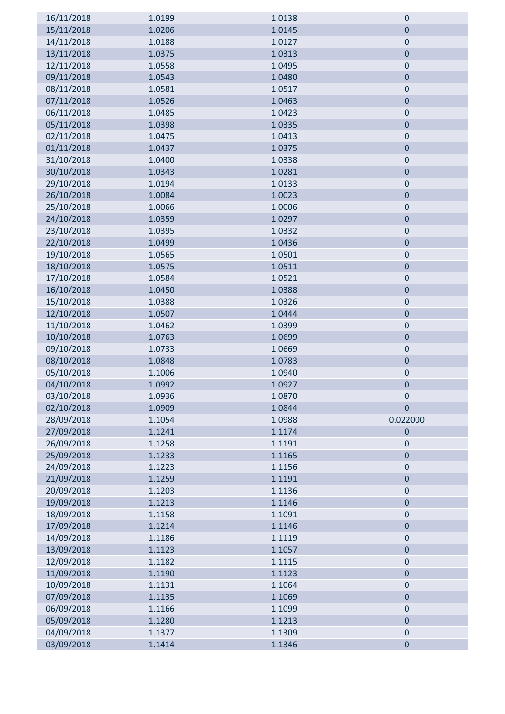| 16/11/2018 | 1.0199 | 1.0138 | $\mathbf 0$    |
|------------|--------|--------|----------------|
| 15/11/2018 | 1.0206 | 1.0145 | $\mathbf 0$    |
| 14/11/2018 | 1.0188 | 1.0127 | $\pmb{0}$      |
| 13/11/2018 | 1.0375 | 1.0313 | $\pmb{0}$      |
| 12/11/2018 | 1.0558 | 1.0495 | $\pmb{0}$      |
| 09/11/2018 | 1.0543 | 1.0480 | $\pmb{0}$      |
| 08/11/2018 | 1.0581 | 1.0517 | $\pmb{0}$      |
| 07/11/2018 | 1.0526 | 1.0463 | $\pmb{0}$      |
| 06/11/2018 | 1.0485 | 1.0423 | $\pmb{0}$      |
| 05/11/2018 | 1.0398 | 1.0335 | $\mathbf 0$    |
| 02/11/2018 | 1.0475 | 1.0413 | $\mathbf 0$    |
| 01/11/2018 | 1.0437 | 1.0375 | $\pmb{0}$      |
| 31/10/2018 | 1.0400 | 1.0338 | $\pmb{0}$      |
| 30/10/2018 | 1.0343 | 1.0281 | $\pmb{0}$      |
| 29/10/2018 | 1.0194 | 1.0133 | $\pmb{0}$      |
| 26/10/2018 | 1.0084 | 1.0023 | $\mathbf 0$    |
| 25/10/2018 | 1.0066 | 1.0006 | $\pmb{0}$      |
| 24/10/2018 | 1.0359 | 1.0297 | $\pmb{0}$      |
| 23/10/2018 | 1.0395 | 1.0332 | $\pmb{0}$      |
| 22/10/2018 | 1.0499 | 1.0436 | $\pmb{0}$      |
| 19/10/2018 | 1.0565 | 1.0501 | $\mathbf 0$    |
| 18/10/2018 | 1.0575 | 1.0511 | $\mathbf 0$    |
| 17/10/2018 | 1.0584 | 1.0521 | $\pmb{0}$      |
| 16/10/2018 | 1.0450 | 1.0388 | $\pmb{0}$      |
| 15/10/2018 | 1.0388 | 1.0326 | $\pmb{0}$      |
| 12/10/2018 | 1.0507 | 1.0444 | $\pmb{0}$      |
| 11/10/2018 | 1.0462 | 1.0399 | $\mathbf 0$    |
| 10/10/2018 | 1.0763 | 1.0699 | $\pmb{0}$      |
| 09/10/2018 | 1.0733 | 1.0669 | $\pmb{0}$      |
| 08/10/2018 | 1.0848 | 1.0783 | $\pmb{0}$      |
| 05/10/2018 | 1.1006 | 1.0940 | $\pmb{0}$      |
| 04/10/2018 | 1.0992 | 1.0927 | $\bf{0}$       |
| 03/10/2018 | 1.0936 | 1.0870 | O              |
| 02/10/2018 | 1.0909 | 1.0844 | $\pmb{0}$      |
| 28/09/2018 | 1.1054 | 1.0988 | 0.022000       |
| 27/09/2018 | 1.1241 | 1.1174 | $\mathbf 0$    |
| 26/09/2018 | 1.1258 | 1.1191 | $\pmb{0}$      |
| 25/09/2018 | 1.1233 | 1.1165 | $\mathbf 0$    |
| 24/09/2018 | 1.1223 | 1.1156 | $\pmb{0}$      |
| 21/09/2018 | 1.1259 | 1.1191 | $\pmb{0}$      |
| 20/09/2018 | 1.1203 | 1.1136 | $\mathbf 0$    |
| 19/09/2018 | 1.1213 | 1.1146 | $\pmb{0}$      |
| 18/09/2018 | 1.1158 | 1.1091 | $\pmb{0}$      |
| 17/09/2018 | 1.1214 | 1.1146 | $\overline{0}$ |
| 14/09/2018 | 1.1186 | 1.1119 | $\pmb{0}$      |
| 13/09/2018 | 1.1123 | 1.1057 | $\pmb{0}$      |
| 12/09/2018 | 1.1182 | 1.1115 | $\mathbf 0$    |
| 11/09/2018 | 1.1190 | 1.1123 | $\pmb{0}$      |
| 10/09/2018 | 1.1131 | 1.1064 | $\pmb{0}$      |
| 07/09/2018 | 1.1135 | 1.1069 | $\mathbf 0$    |
| 06/09/2018 | 1.1166 | 1.1099 | $\pmb{0}$      |
| 05/09/2018 | 1.1280 | 1.1213 | $\pmb{0}$      |
| 04/09/2018 | 1.1377 | 1.1309 | $\pmb{0}$      |
| 03/09/2018 | 1.1414 | 1.1346 | $\pmb{0}$      |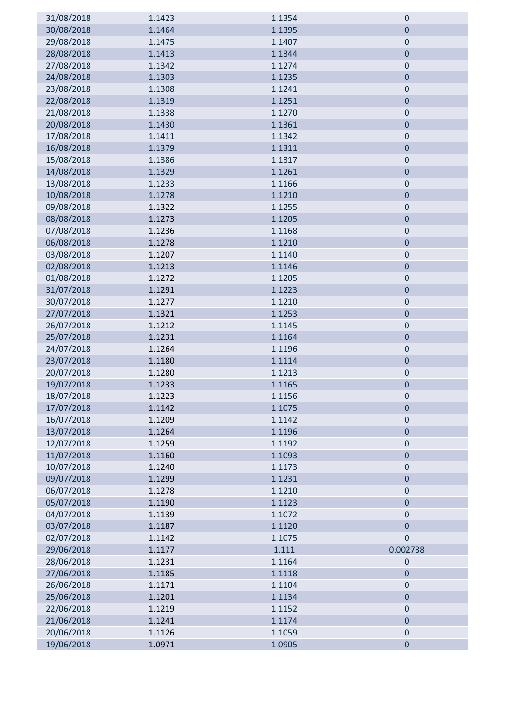| 31/08/2018 | 1.1423 | 1.1354 | $\mathbf 0$    |
|------------|--------|--------|----------------|
| 30/08/2018 | 1.1464 | 1.1395 | $\mathbf 0$    |
| 29/08/2018 | 1.1475 | 1.1407 | $\pmb{0}$      |
| 28/08/2018 | 1.1413 | 1.1344 | $\mathbf 0$    |
| 27/08/2018 | 1.1342 | 1.1274 | $\mathbf 0$    |
| 24/08/2018 | 1.1303 | 1.1235 | $\bf 0$        |
| 23/08/2018 | 1.1308 | 1.1241 | $\pmb{0}$      |
| 22/08/2018 | 1.1319 | 1.1251 | $\bf 0$        |
| 21/08/2018 | 1.1338 | 1.1270 | $\pmb{0}$      |
| 20/08/2018 | 1.1430 | 1.1361 | $\mathbf 0$    |
| 17/08/2018 | 1.1411 | 1.1342 | $\bf 0$        |
| 16/08/2018 | 1.1379 | 1.1311 | $\pmb{0}$      |
| 15/08/2018 | 1.1386 | 1.1317 | $\pmb{0}$      |
| 14/08/2018 | 1.1329 | 1.1261 | $\pmb{0}$      |
| 13/08/2018 | 1.1233 | 1.1166 | $\pmb{0}$      |
| 10/08/2018 | 1.1278 | 1.1210 | $\mathbf 0$    |
| 09/08/2018 | 1.1322 | 1.1255 | $\pmb{0}$      |
| 08/08/2018 | 1.1273 | 1.1205 | $\pmb{0}$      |
| 07/08/2018 | 1.1236 | 1.1168 | $\pmb{0}$      |
| 06/08/2018 | 1.1278 | 1.1210 | $\pmb{0}$      |
| 03/08/2018 | 1.1207 | 1.1140 | $\mathbf 0$    |
| 02/08/2018 | 1.1213 | 1.1146 | $\mathbf 0$    |
| 01/08/2018 | 1.1272 | 1.1205 | $\pmb{0}$      |
| 31/07/2018 | 1.1291 | 1.1223 | $\pmb{0}$      |
| 30/07/2018 | 1.1277 | 1.1210 | $\pmb{0}$      |
| 27/07/2018 | 1.1321 | 1.1253 | $\pmb{0}$      |
| 26/07/2018 | 1.1212 | 1.1145 | $\mathbf 0$    |
| 25/07/2018 | 1.1231 | 1.1164 | $\bf 0$        |
| 24/07/2018 | 1.1264 | 1.1196 | $\pmb{0}$      |
| 23/07/2018 | 1.1180 | 1.1114 | $\pmb{0}$      |
| 20/07/2018 | 1.1280 | 1.1213 | $\pmb{0}$      |
| 19/07/2018 | 1.1233 | 1.1165 | $\bf{0}$       |
| 18/07/2018 | 1.1223 | 1.1156 | 0              |
| 17/07/2018 | 1.1142 | 1.1075 | $\pmb{0}$      |
| 16/07/2018 | 1.1209 | 1.1142 | $\pmb{0}$      |
| 13/07/2018 | 1.1264 | 1.1196 | $\mathbf 0$    |
| 12/07/2018 | 1.1259 | 1.1192 | $\pmb{0}$      |
| 11/07/2018 | 1.1160 | 1.1093 | $\pmb{0}$      |
| 10/07/2018 | 1.1240 | 1.1173 | $\pmb{0}$      |
| 09/07/2018 | 1.1299 | 1.1231 | $\pmb{0}$      |
| 06/07/2018 | 1.1278 | 1.1210 | $\mathbf 0$    |
| 05/07/2018 | 1.1190 | 1.1123 | $\bf 0$        |
| 04/07/2018 | 1.1139 | 1.1072 | $\pmb{0}$      |
| 03/07/2018 | 1.1187 | 1.1120 | $\overline{0}$ |
| 02/07/2018 | 1.1142 | 1.1075 | $\mathbf 0$    |
| 29/06/2018 | 1.1177 | 1.111  | 0.002738       |
| 28/06/2018 | 1.1231 | 1.1164 | $\mathbf 0$    |
| 27/06/2018 | 1.1185 | 1.1118 | $\pmb{0}$      |
| 26/06/2018 | 1.1171 | 1.1104 | $\bf 0$        |
| 25/06/2018 | 1.1201 | 1.1134 | $\overline{0}$ |
| 22/06/2018 | 1.1219 | 1.1152 | $\pmb{0}$      |
| 21/06/2018 | 1.1241 | 1.1174 | $\pmb{0}$      |
| 20/06/2018 | 1.1126 | 1.1059 | $\pmb{0}$      |
| 19/06/2018 | 1.0971 | 1.0905 | $\pmb{0}$      |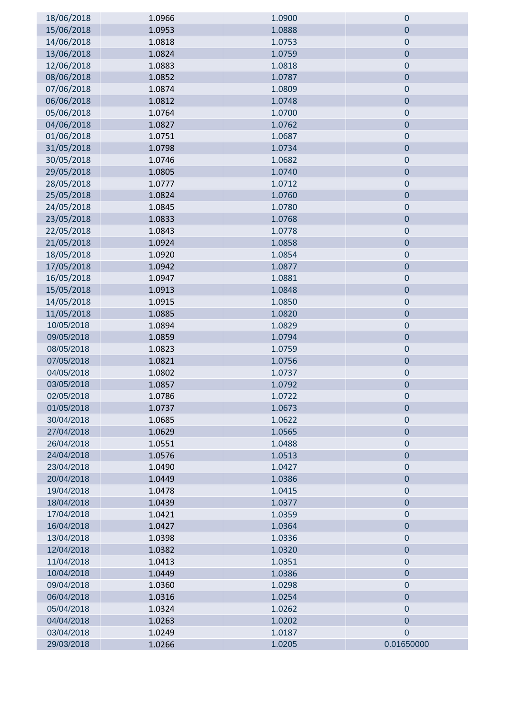| 18/06/2018               | 1.0966           | 1.0900           | $\pmb{0}$                |
|--------------------------|------------------|------------------|--------------------------|
| 15/06/2018               | 1.0953           | 1.0888           | $\bf 0$                  |
| 14/06/2018               | 1.0818           | 1.0753           | $\pmb{0}$                |
| 13/06/2018               | 1.0824           | 1.0759           | $\bf 0$                  |
| 12/06/2018               | 1.0883           | 1.0818           | $\mathbf 0$              |
| 08/06/2018               | 1.0852           | 1.0787           | $\mathbf 0$              |
| 07/06/2018               | 1.0874           | 1.0809           | $\pmb{0}$                |
| 06/06/2018               | 1.0812           | 1.0748           | $\bf 0$                  |
| 05/06/2018               | 1.0764           | 1.0700           | $\pmb{0}$                |
| 04/06/2018               | 1.0827           | 1.0762           | $\mathbf 0$              |
| 01/06/2018               | 1.0751           | 1.0687           | $\mathbf 0$              |
| 31/05/2018               | 1.0798           | 1.0734           | $\bf 0$                  |
| 30/05/2018               | 1.0746           | 1.0682           | $\mathbf 0$              |
| 29/05/2018               | 1.0805           | 1.0740           | $\bf 0$                  |
| 28/05/2018               | 1.0777           | 1.0712           | $\pmb{0}$                |
| 25/05/2018               | 1.0824           | 1.0760           | $\mathbf 0$              |
| 24/05/2018               | 1.0845           | 1.0780           | $\bf 0$                  |
| 23/05/2018               | 1.0833           | 1.0768           | $\bf 0$                  |
| 22/05/2018               | 1.0843           | 1.0778           | $\mathbf 0$              |
| 21/05/2018               | 1.0924           | 1.0858           | $\pmb{0}$                |
| 18/05/2018               | 1.0920           | 1.0854           | $\pmb{0}$                |
| 17/05/2018               | 1.0942           | 1.0877           | $\mathbf 0$              |
| 16/05/2018               | 1.0947           | 1.0881           | $\mathbf 0$              |
| 15/05/2018               | 1.0913           | 1.0848           | $\pmb{0}$                |
| 14/05/2018               | 1.0915           | 1.0850           | $\mathbf 0$              |
| 11/05/2018               | 1.0885           | 1.0820           | $\pmb{0}$                |
| 10/05/2018               | 1.0894           | 1.0829           | $\bf 0$                  |
| 09/05/2018               | 1.0859           | 1.0794           | $\mathbf 0$              |
| 08/05/2018               | 1.0823           | 1.0759           | $\pmb{0}$                |
| 07/05/2018               | 1.0821           | 1.0756           | $\bf 0$                  |
| 04/05/2018               | 1.0802           | 1.0737           | $\pmb{0}$                |
| 03/05/2018               | 1.0857           | 1.0792           | $\pmb{0}$                |
| 02/05/2018               | 1.0786           | 1.0722           | $\theta$                 |
| 01/05/2018               | 1.0737           | 1.0673           | $\mathbf 0$              |
| 30/04/2018               | 1.0685           | 1.0622           | $\pmb{0}$                |
| 27/04/2018               | 1.0629           | 1.0565           | $\mathbf 0$              |
| 26/04/2018               | 1.0551           | 1.0488           | $\bf 0$                  |
| 24/04/2018               | 1.0576           | 1.0513           | $\bf 0$                  |
| 23/04/2018               | 1.0490           | 1.0427           | $\bf 0$                  |
| 20/04/2018               | 1.0449           | 1.0386           | $\mathbf 0$              |
| 19/04/2018               | 1.0478           | 1.0415           | $\pmb{0}$                |
| 18/04/2018               | 1.0439           | 1.0377           | $\mathbf 0$              |
| 17/04/2018               | 1.0421           | 1.0359           | $\mathbf 0$              |
| 16/04/2018               | 1.0427           | 1.0364           | $\mathbf 0$              |
| 13/04/2018               | 1.0398           | 1.0336           | $\pmb{0}$                |
| 12/04/2018<br>11/04/2018 | 1.0382<br>1.0413 | 1.0320<br>1.0351 | $\pmb{0}$<br>$\mathbf 0$ |
|                          |                  |                  |                          |
| 10/04/2018<br>09/04/2018 | 1.0449<br>1.0360 | 1.0386<br>1.0298 | $\pmb{0}$<br>$\mathbf 0$ |
| 06/04/2018               | 1.0316           | 1.0254           | $\overline{0}$           |
| 05/04/2018               | 1.0324           | 1.0262           | $\mathbf 0$              |
| 04/04/2018               | 1.0263           | 1.0202           | $\mathbf 0$              |
| 03/04/2018               | 1.0249           | 1.0187           | $\overline{0}$           |
| 29/03/2018               | 1.0266           | 1.0205           | 0.01650000               |
|                          |                  |                  |                          |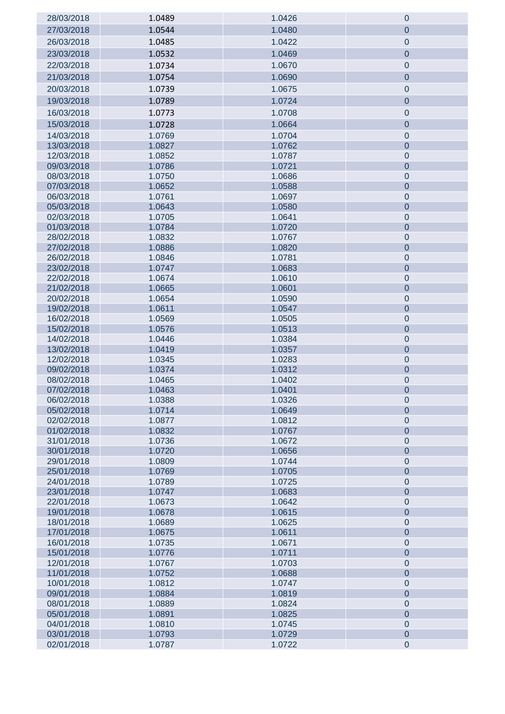| 28/03/2018               | 1.0489           | 1.0426           | $\mathbf 0$                |
|--------------------------|------------------|------------------|----------------------------|
| 27/03/2018               | 1.0544           | 1.0480           | $\overline{0}$             |
| 26/03/2018               | 1.0485           | 1.0422           | $\pmb{0}$                  |
| 23/03/2018               | 1.0532           | 1.0469           | $\pmb{0}$                  |
| 22/03/2018               | 1.0734           | 1.0670           | $\mathbf 0$                |
| 21/03/2018               | 1.0754           | 1.0690           | $\pmb{0}$                  |
| 20/03/2018               | 1.0739           | 1.0675           | $\pmb{0}$                  |
|                          |                  |                  |                            |
| 19/03/2018               | 1.0789           | 1.0724           | $\overline{0}$             |
| 16/03/2018               | 1.0773           | 1.0708           | $\pmb{0}$                  |
| 15/03/2018               | 1.0728           | 1.0664           | $\pmb{0}$                  |
| 14/03/2018               | 1.0769           | 1.0704           | $\pmb{0}$                  |
| 13/03/2018               | 1.0827           | 1.0762           | $\pmb{0}$                  |
| 12/03/2018<br>09/03/2018 | 1.0852           | 1.0787           | $\pmb{0}$<br>$\pmb{0}$     |
| 08/03/2018               | 1.0786<br>1.0750 | 1.0721<br>1.0686 | $\pmb{0}$                  |
| 07/03/2018               | 1.0652           | 1.0588           | $\pmb{0}$                  |
| 06/03/2018               | 1.0761           | 1.0697           | $\pmb{0}$                  |
| 05/03/2018               | 1.0643           | 1.0580           | $\pmb{0}$                  |
| 02/03/2018               | 1.0705           | 1.0641           | $\pmb{0}$                  |
| 01/03/2018               | 1.0784           | 1.0720           | $\pmb{0}$                  |
| 28/02/2018               | 1.0832           | 1.0767           | $\pmb{0}$                  |
| 27/02/2018               | 1.0886           | 1.0820           | $\pmb{0}$                  |
| 26/02/2018               | 1.0846           | 1.0781           | $\pmb{0}$                  |
| 23/02/2018               | 1.0747           | 1.0683           | $\pmb{0}$                  |
| 22/02/2018               | 1.0674           | 1.0610           | $\pmb{0}$                  |
| 21/02/2018               | 1.0665           | 1.0601           | $\pmb{0}$                  |
| 20/02/2018               | 1.0654           | 1.0590           | $\pmb{0}$                  |
| 19/02/2018               | 1.0611           | 1.0547           | $\pmb{0}$                  |
| 16/02/2018<br>15/02/2018 | 1.0569<br>1.0576 | 1.0505<br>1.0513 | $\pmb{0}$<br>$\pmb{0}$     |
| 14/02/2018               | 1.0446           | 1.0384           | $\pmb{0}$                  |
| 13/02/2018               | 1.0419           | 1.0357           | $\pmb{0}$                  |
| 12/02/2018               | 1.0345           | 1.0283           | $\pmb{0}$                  |
| 09/02/2018               | 1.0374           | 1.0312           | $\pmb{0}$                  |
| 08/02/2018               | 1.0465           | 1.0402           | $\pmb{0}$                  |
| 07/02/2018               | 1.0463           | 1.0401           | $\overline{0}$             |
| 06/02/2018               | 1.0388           | 1.0326           | $\mathbf 0$                |
| 05/02/2018               | 1.0714           | 1.0649           | $\mathbf 0$                |
| 02/02/2018               | 1.0877           | 1.0812           | $\pmb{0}$                  |
| 01/02/2018               | 1.0832           | 1.0767           | $\pmb{0}$                  |
| 31/01/2018               | 1.0736           | 1.0672           | $\pmb{0}$                  |
| 30/01/2018<br>29/01/2018 | 1.0720<br>1.0809 | 1.0656<br>1.0744 | $\pmb{0}$<br>$\pmb{0}$     |
| 25/01/2018               | 1.0769           | 1.0705           | $\pmb{0}$                  |
| 24/01/2018               | 1.0789           | 1.0725           | $\pmb{0}$                  |
| 23/01/2018               | 1.0747           | 1.0683           | $\pmb{0}$                  |
| 22/01/2018               | 1.0673           | 1.0642           | $\pmb{0}$                  |
| 19/01/2018               | 1.0678           | 1.0615           | $\pmb{0}$                  |
| 18/01/2018               | 1.0689           | 1.0625           | $\pmb{0}$                  |
| 17/01/2018               | 1.0675           | 1.0611           | $\pmb{0}$                  |
| 16/01/2018               | 1.0735           | 1.0671           | $\pmb{0}$                  |
| 15/01/2018               | 1.0776           | 1.0711           | $\pmb{0}$                  |
| 12/01/2018               | 1.0767           | 1.0703           | $\pmb{0}$                  |
| 11/01/2018               | 1.0752           | 1.0688           | $\pmb{0}$                  |
| 10/01/2018               | 1.0812           | 1.0747           | $\mathbf 0$                |
| 09/01/2018<br>08/01/2018 | 1.0884<br>1.0889 | 1.0819<br>1.0824 | $\mathbf 0$                |
| 05/01/2018               | 1.0891           | 1.0825           | $\mathbf 0$<br>$\mathbf 0$ |
| 04/01/2018               | 1.0810           | 1.0745           | $\pmb{0}$                  |
| 03/01/2018               | 1.0793           | 1.0729           | $\pmb{0}$                  |
| 02/01/2018               | 1.0787           | 1.0722           | $\pmb{0}$                  |
|                          |                  |                  |                            |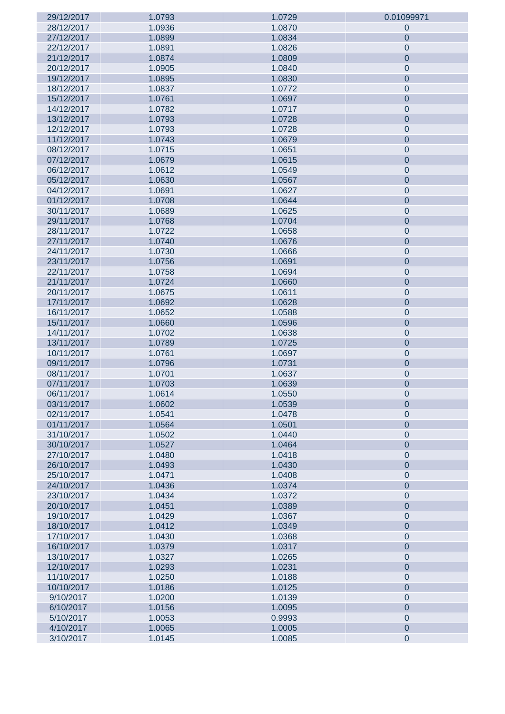| 29/12/2017 | 1.0793 | 1.0729 | 0.01099971     |
|------------|--------|--------|----------------|
| 28/12/2017 | 1.0936 | 1.0870 | 0              |
| 27/12/2017 | 1.0899 | 1.0834 | $\overline{0}$ |
| 22/12/2017 | 1.0891 | 1.0826 | $\mathbf 0$    |
| 21/12/2017 | 1.0874 | 1.0809 | $\overline{0}$ |
| 20/12/2017 | 1.0905 | 1.0840 | $\mathbf 0$    |
| 19/12/2017 | 1.0895 | 1.0830 | $\overline{0}$ |
| 18/12/2017 | 1.0837 | 1.0772 | $\mathbf 0$    |
| 15/12/2017 | 1.0761 | 1.0697 |                |
|            |        |        | $\mathbf 0$    |
| 14/12/2017 | 1.0782 | 1.0717 | $\mathbf 0$    |
| 13/12/2017 | 1.0793 | 1.0728 | $\mathbf 0$    |
| 12/12/2017 | 1.0793 | 1.0728 | $\mathbf 0$    |
| 11/12/2017 | 1.0743 | 1.0679 | $\mathbf 0$    |
| 08/12/2017 | 1.0715 | 1.0651 | $\mathbf 0$    |
| 07/12/2017 | 1.0679 | 1.0615 | $\mathbf 0$    |
| 06/12/2017 | 1.0612 | 1.0549 | $\mathbf 0$    |
| 05/12/2017 | 1.0630 | 1.0567 | $\mathbf 0$    |
| 04/12/2017 | 1.0691 | 1.0627 | $\mathbf 0$    |
| 01/12/2017 | 1.0708 | 1.0644 | $\mathbf 0$    |
| 30/11/2017 | 1.0689 | 1.0625 | $\mathbf 0$    |
| 29/11/2017 | 1.0768 | 1.0704 | $\mathbf 0$    |
| 28/11/2017 | 1.0722 | 1.0658 | $\mathbf 0$    |
| 27/11/2017 | 1.0740 | 1.0676 | $\mathbf 0$    |
| 24/11/2017 | 1.0730 | 1.0666 | $\mathbf 0$    |
|            |        |        |                |
| 23/11/2017 | 1.0756 | 1.0691 | $\mathbf 0$    |
| 22/11/2017 | 1.0758 | 1.0694 | $\mathbf 0$    |
| 21/11/2017 | 1.0724 | 1.0660 | $\mathbf 0$    |
| 20/11/2017 | 1.0675 | 1.0611 | $\mathbf 0$    |
| 17/11/2017 | 1.0692 | 1.0628 | $\mathbf{0}$   |
| 16/11/2017 | 1.0652 | 1.0588 | $\mathbf 0$    |
| 15/11/2017 | 1.0660 | 1.0596 | $\mathbf{0}$   |
| 14/11/2017 | 1.0702 | 1.0638 | $\mathbf 0$    |
| 13/11/2017 | 1.0789 | 1.0725 | $\mathbf{0}$   |
| 10/11/2017 | 1.0761 | 1.0697 | $\mathbf 0$    |
| 09/11/2017 | 1.0796 | 1.0731 | $\mathbf 0$    |
| 08/11/2017 | 1.0701 | 1.0637 | $\mathbf 0$    |
| 07/11/2017 | 1.0703 | 1.0639 | $\mathbf 0$    |
| 06/11/2017 | 1.0614 | 1.0550 | $\pmb{0}$      |
| 03/11/2017 | 1.0602 | 1.0539 | $\mathbf 0$    |
| 02/11/2017 | 1.0541 | 1.0478 | $\mathbf 0$    |
| 01/11/2017 | 1.0564 | 1.0501 | $\mathbf{0}$   |
| 31/10/2017 | 1.0502 | 1.0440 | $\mathbf 0$    |
| 30/10/2017 | 1.0527 | 1.0464 |                |
|            |        |        | $\mathbf{0}$   |
| 27/10/2017 | 1.0480 | 1.0418 | $\mathbf 0$    |
| 26/10/2017 | 1.0493 | 1.0430 | $\mathbf{0}$   |
| 25/10/2017 | 1.0471 | 1.0408 | $\mathbf 0$    |
| 24/10/2017 | 1.0436 | 1.0374 | $\mathbf{0}$   |
| 23/10/2017 | 1.0434 | 1.0372 | $\mathbf 0$    |
| 20/10/2017 | 1.0451 | 1.0389 | $\mathbf{0}$   |
| 19/10/2017 | 1.0429 | 1.0367 | $\mathbf 0$    |
| 18/10/2017 | 1.0412 | 1.0349 | $\mathbf{0}$   |
| 17/10/2017 | 1.0430 | 1.0368 | $\mathbf 0$    |
| 16/10/2017 | 1.0379 | 1.0317 | $\mathbf{0}$   |
| 13/10/2017 | 1.0327 | 1.0265 | $\mathbf 0$    |
| 12/10/2017 | 1.0293 | 1.0231 | $\mathbf{0}$   |
| 11/10/2017 | 1.0250 | 1.0188 | $\mathbf 0$    |
| 10/10/2017 | 1.0186 | 1.0125 | $\mathbf{0}$   |
| 9/10/2017  | 1.0200 | 1.0139 | $\mathbf 0$    |
| 6/10/2017  | 1.0156 | 1.0095 | $\mathbf{0}$   |
| 5/10/2017  | 1.0053 | 0.9993 | $\mathbf 0$    |
| 4/10/2017  | 1.0065 | 1.0005 | $\mathbf 0$    |
|            |        |        |                |
| 3/10/2017  | 1.0145 | 1.0085 | $\pmb{0}$      |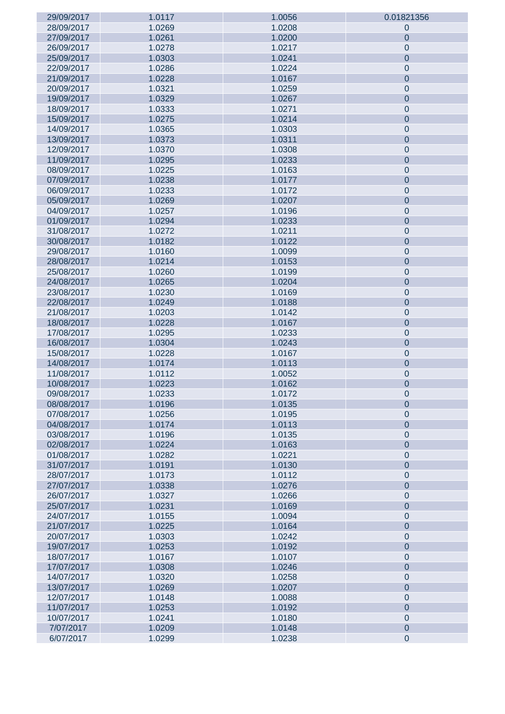| 29/09/2017 | 1.0117 | 1.0056 | 0.01821356     |
|------------|--------|--------|----------------|
| 28/09/2017 | 1.0269 | 1.0208 | $\mathbf 0$    |
| 27/09/2017 | 1.0261 | 1.0200 | $\overline{0}$ |
| 26/09/2017 | 1.0278 | 1.0217 | $\mathbf 0$    |
| 25/09/2017 | 1.0303 | 1.0241 | $\overline{0}$ |
| 22/09/2017 | 1.0286 | 1.0224 | $\mathbf 0$    |
| 21/09/2017 | 1.0228 | 1.0167 | $\mathbf 0$    |
| 20/09/2017 | 1.0321 | 1.0259 | $\mathbf 0$    |
| 19/09/2017 | 1.0329 | 1.0267 | $\mathbf{0}$   |
|            |        |        |                |
| 18/09/2017 | 1.0333 | 1.0271 | $\mathbf 0$    |
| 15/09/2017 | 1.0275 | 1.0214 | $\mathbf{0}$   |
| 14/09/2017 | 1.0365 | 1.0303 | $\mathbf 0$    |
| 13/09/2017 | 1.0373 | 1.0311 | $\mathbf{0}$   |
| 12/09/2017 | 1.0370 | 1.0308 | $\mathbf 0$    |
| 11/09/2017 | 1.0295 | 1.0233 | $\mathbf{0}$   |
| 08/09/2017 | 1.0225 | 1.0163 | $\mathbf 0$    |
| 07/09/2017 | 1.0238 | 1.0177 | $\mathbf{0}$   |
| 06/09/2017 | 1.0233 | 1.0172 | $\mathbf 0$    |
| 05/09/2017 | 1.0269 | 1.0207 | $\mathbf{0}$   |
| 04/09/2017 | 1.0257 | 1.0196 | $\mathbf 0$    |
| 01/09/2017 | 1.0294 | 1.0233 | $\mathbf{0}$   |
| 31/08/2017 | 1.0272 | 1.0211 | $\mathbf 0$    |
| 30/08/2017 | 1.0182 | 1.0122 | $\mathbf{0}$   |
| 29/08/2017 | 1.0160 | 1.0099 | $\mathbf 0$    |
| 28/08/2017 | 1.0214 | 1.0153 | $\mathbf{0}$   |
| 25/08/2017 | 1.0260 | 1.0199 |                |
|            |        |        | $\mathbf 0$    |
| 24/08/2017 | 1.0265 | 1.0204 | $\mathbf{0}$   |
| 23/08/2017 | 1.0230 | 1.0169 | $\mathbf 0$    |
| 22/08/2017 | 1.0249 | 1.0188 | $\mathbf{0}$   |
| 21/08/2017 | 1.0203 | 1.0142 | $\mathbf 0$    |
| 18/08/2017 | 1.0228 | 1.0167 | $\mathbf{0}$   |
| 17/08/2017 | 1.0295 | 1.0233 | $\mathbf 0$    |
| 16/08/2017 | 1.0304 | 1.0243 | $\mathbf{0}$   |
| 15/08/2017 | 1.0228 | 1.0167 | $\mathbf 0$    |
| 14/08/2017 | 1.0174 | 1.0113 | $\mathbf{0}$   |
| 11/08/2017 | 1.0112 | 1.0052 | $\mathbf 0$    |
| 10/08/2017 | 1.0223 | 1.0162 | $\mathbf 0$    |
| 09/08/2017 | 1.0233 | 1.0172 | $\mathbf{0}$   |
| 08/08/2017 | 1.0196 | 1.0135 | $\mathbf 0$    |
| 07/08/2017 | 1.0256 | 1.0195 | $\mathbf 0$    |
| 04/08/2017 | 1.0174 | 1.0113 | $\overline{0}$ |
| 03/08/2017 | 1.0196 | 1.0135 | $\mathbf 0$    |
| 02/08/2017 | 1.0224 | 1.0163 | $\overline{0}$ |
| 01/08/2017 | 1.0282 | 1.0221 | $\mathbf 0$    |
| 31/07/2017 | 1.0191 | 1.0130 | $\overline{0}$ |
| 28/07/2017 | 1.0173 | 1.0112 | $\mathbf 0$    |
| 27/07/2017 | 1.0338 | 1.0276 | $\overline{0}$ |
| 26/07/2017 | 1.0327 | 1.0266 |                |
|            |        |        | $\mathbf 0$    |
| 25/07/2017 | 1.0231 | 1.0169 | $\overline{0}$ |
| 24/07/2017 | 1.0155 | 1.0094 | $\mathbf 0$    |
| 21/07/2017 | 1.0225 | 1.0164 | $\overline{0}$ |
| 20/07/2017 | 1.0303 | 1.0242 | $\mathbf 0$    |
| 19/07/2017 | 1.0253 | 1.0192 | $\overline{0}$ |
| 18/07/2017 | 1.0167 | 1.0107 | $\mathbf 0$    |
| 17/07/2017 | 1.0308 | 1.0246 | $\overline{0}$ |
| 14/07/2017 | 1.0320 | 1.0258 | $\mathbf 0$    |
| 13/07/2017 | 1.0269 | 1.0207 | $\overline{0}$ |
| 12/07/2017 | 1.0148 | 1.0088 | $\mathbf 0$    |
| 11/07/2017 | 1.0253 | 1.0192 | $\overline{0}$ |
| 10/07/2017 | 1.0241 | 1.0180 | $\mathbf 0$    |
| 7/07/2017  | 1.0209 | 1.0148 | $\overline{0}$ |
| 6/07/2017  | 1.0299 | 1.0238 | $\pmb{0}$      |
|            |        |        |                |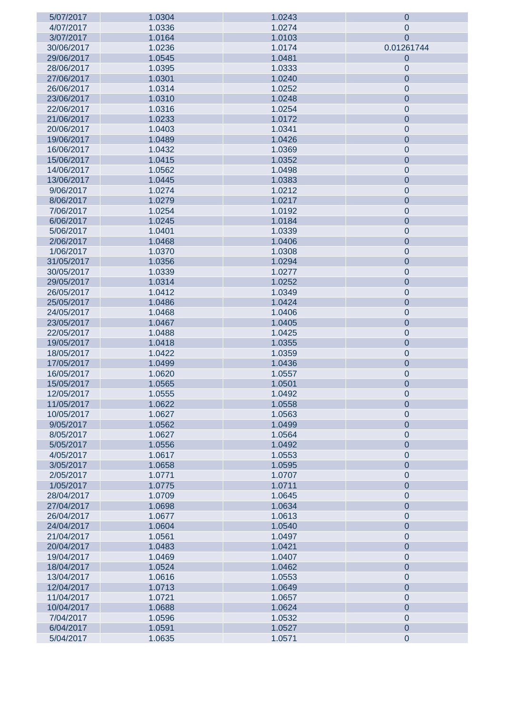| 5/07/2017  | 1.0304 | 1.0243 | $\mathbf 0$    |
|------------|--------|--------|----------------|
| 4/07/2017  | 1.0336 | 1.0274 | $\pmb{0}$      |
| 3/07/2017  | 1.0164 | 1.0103 | $\overline{0}$ |
| 30/06/2017 | 1.0236 | 1.0174 | 0.01261744     |
| 29/06/2017 | 1.0545 | 1.0481 | $\mathbf 0$    |
| 28/06/2017 | 1.0395 | 1.0333 | $\pmb{0}$      |
| 27/06/2017 | 1.0301 | 1.0240 | $\overline{0}$ |
| 26/06/2017 | 1.0314 | 1.0252 | $\pmb{0}$      |
| 23/06/2017 | 1.0310 | 1.0248 | $\mathbf 0$    |
|            |        |        |                |
| 22/06/2017 | 1.0316 | 1.0254 | $\mathbf 0$    |
| 21/06/2017 | 1.0233 | 1.0172 | $\mathbf 0$    |
| 20/06/2017 | 1.0403 | 1.0341 | $\mathbf 0$    |
| 19/06/2017 | 1.0489 | 1.0426 | $\mathbf 0$    |
| 16/06/2017 | 1.0432 | 1.0369 | $\mathbf 0$    |
| 15/06/2017 | 1.0415 | 1.0352 | $\mathbf 0$    |
| 14/06/2017 | 1.0562 | 1.0498 | $\mathbf 0$    |
| 13/06/2017 | 1.0445 | 1.0383 | $\mathbf 0$    |
| 9/06/2017  | 1.0274 | 1.0212 | $\mathbf 0$    |
| 8/06/2017  | 1.0279 | 1.0217 | $\mathbf 0$    |
| 7/06/2017  | 1.0254 | 1.0192 | $\mathbf 0$    |
| 6/06/2017  | 1.0245 | 1.0184 | $\mathbf 0$    |
| 5/06/2017  | 1.0401 | 1.0339 | $\mathbf 0$    |
| 2/06/2017  | 1.0468 | 1.0406 | $\mathbf 0$    |
| 1/06/2017  | 1.0370 | 1.0308 | $\mathbf 0$    |
| 31/05/2017 | 1.0356 | 1.0294 | $\mathbf 0$    |
| 30/05/2017 | 1.0339 | 1.0277 | $\mathbf 0$    |
| 29/05/2017 | 1.0314 | 1.0252 | $\mathbf 0$    |
|            |        |        |                |
| 26/05/2017 | 1.0412 | 1.0349 | $\mathbf 0$    |
| 25/05/2017 | 1.0486 | 1.0424 | $\mathbf 0$    |
| 24/05/2017 | 1.0468 | 1.0406 | $\mathbf 0$    |
| 23/05/2017 | 1.0467 | 1.0405 | $\mathbf 0$    |
| 22/05/2017 | 1.0488 | 1.0425 | $\mathbf 0$    |
| 19/05/2017 | 1.0418 | 1.0355 | $\mathbf 0$    |
| 18/05/2017 | 1.0422 | 1.0359 | $\mathbf 0$    |
| 17/05/2017 | 1.0499 | 1.0436 | $\mathbf 0$    |
| 16/05/2017 | 1.0620 | 1.0557 | $\mathbf 0$    |
| 15/05/2017 | 1.0565 | 1.0501 | $\mathbf 0$    |
| 12/05/2017 | 1.0555 | 1.0492 | $\mathbf 0$    |
| 11/05/2017 | 1.0622 | 1.0558 | $\overline{0}$ |
| 10/05/2017 | 1.0627 | 1.0563 | $\mathbf 0$    |
| 9/05/2017  | 1.0562 | 1.0499 | $\overline{0}$ |
| 8/05/2017  | 1.0627 | 1.0564 | $\mathbf 0$    |
| 5/05/2017  | 1.0556 | 1.0492 | $\overline{0}$ |
| 4/05/2017  | 1.0617 | 1.0553 | $\mathbf 0$    |
| 3/05/2017  | 1.0658 | 1.0595 | $\overline{0}$ |
| 2/05/2017  | 1.0771 | 1.0707 | $\mathbf 0$    |
| 1/05/2017  | 1.0775 | 1.0711 | $\overline{0}$ |
| 28/04/2017 | 1.0709 | 1.0645 | $\mathbf 0$    |
| 27/04/2017 | 1.0698 | 1.0634 | $\overline{0}$ |
| 26/04/2017 | 1.0677 | 1.0613 | $\mathbf 0$    |
| 24/04/2017 | 1.0604 | 1.0540 | $\overline{0}$ |
| 21/04/2017 | 1.0561 | 1.0497 | $\mathbf 0$    |
| 20/04/2017 | 1.0483 | 1.0421 | $\overline{0}$ |
|            |        |        |                |
| 19/04/2017 | 1.0469 | 1.0407 | $\mathbf 0$    |
| 18/04/2017 | 1.0524 | 1.0462 | $\overline{0}$ |
| 13/04/2017 | 1.0616 | 1.0553 | $\mathbf 0$    |
| 12/04/2017 | 1.0713 | 1.0649 | $\overline{0}$ |
| 11/04/2017 | 1.0721 | 1.0657 | $\mathbf 0$    |
| 10/04/2017 | 1.0688 | 1.0624 | $\overline{0}$ |
| 7/04/2017  | 1.0596 | 1.0532 | $\mathbf 0$    |
| 6/04/2017  | 1.0591 | 1.0527 | $\mathbf 0$    |
| 5/04/2017  | 1.0635 | 1.0571 | $\mathbf 0$    |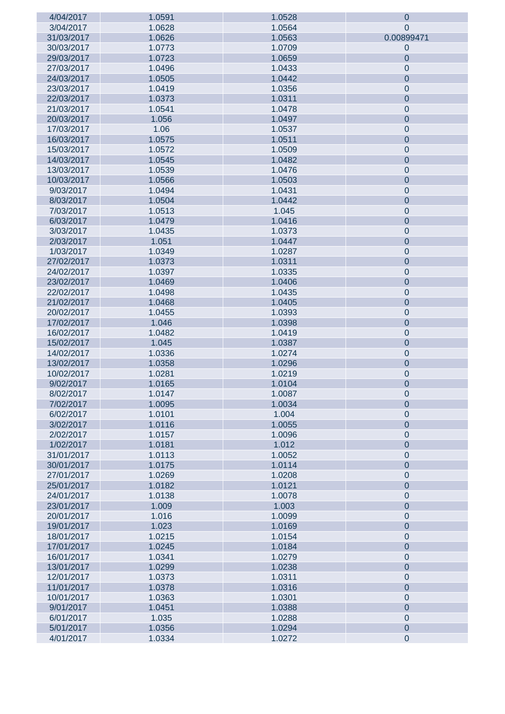| 4/04/2017  | 1.0591 | 1.0528 | $\mathbf 0$    |
|------------|--------|--------|----------------|
| 3/04/2017  | 1.0628 | 1.0564 | 0              |
| 31/03/2017 | 1.0626 | 1.0563 | 0.00899471     |
| 30/03/2017 | 1.0773 | 1.0709 | $\mathbf 0$    |
| 29/03/2017 | 1.0723 | 1.0659 | $\mathbf 0$    |
| 27/03/2017 | 1.0496 | 1.0433 | $\mathbf 0$    |
| 24/03/2017 | 1.0505 | 1.0442 | $\mathbf 0$    |
| 23/03/2017 | 1.0419 | 1.0356 | $\mathbf 0$    |
|            |        |        |                |
| 22/03/2017 | 1.0373 | 1.0311 | $\mathbf 0$    |
| 21/03/2017 | 1.0541 | 1.0478 | $\mathbf 0$    |
| 20/03/2017 | 1.056  | 1.0497 | $\mathbf 0$    |
| 17/03/2017 | 1.06   | 1.0537 | $\mathbf 0$    |
| 16/03/2017 | 1.0575 | 1.0511 | $\mathbf 0$    |
| 15/03/2017 | 1.0572 | 1.0509 | $\mathbf 0$    |
| 14/03/2017 | 1.0545 | 1.0482 | $\mathbf 0$    |
| 13/03/2017 | 1.0539 | 1.0476 | $\mathbf 0$    |
| 10/03/2017 | 1.0566 | 1.0503 | $\mathbf 0$    |
| 9/03/2017  | 1.0494 | 1.0431 | $\mathbf 0$    |
| 8/03/2017  | 1.0504 | 1.0442 | $\mathbf 0$    |
| 7/03/2017  | 1.0513 | 1.045  | $\mathbf 0$    |
| 6/03/2017  | 1.0479 | 1.0416 | $\mathbf 0$    |
| 3/03/2017  | 1.0435 | 1.0373 | $\mathbf 0$    |
| 2/03/2017  | 1.051  | 1.0447 | $\mathbf 0$    |
| 1/03/2017  | 1.0349 | 1.0287 | $\mathbf 0$    |
| 27/02/2017 | 1.0373 | 1.0311 |                |
|            |        |        | $\mathbf 0$    |
| 24/02/2017 | 1.0397 | 1.0335 | $\mathbf 0$    |
| 23/02/2017 | 1.0469 | 1.0406 | $\mathbf 0$    |
| 22/02/2017 | 1.0498 | 1.0435 | $\mathbf 0$    |
| 21/02/2017 | 1.0468 | 1.0405 | $\mathbf 0$    |
| 20/02/2017 | 1.0455 | 1.0393 | $\mathbf 0$    |
| 17/02/2017 | 1.046  | 1.0398 | $\mathbf 0$    |
| 16/02/2017 | 1.0482 | 1.0419 | $\mathbf 0$    |
| 15/02/2017 | 1.045  | 1.0387 | $\mathbf 0$    |
| 14/02/2017 | 1.0336 | 1.0274 | $\mathbf 0$    |
| 13/02/2017 | 1.0358 | 1.0296 | $\mathbf 0$    |
| 10/02/2017 | 1.0281 | 1.0219 | $\mathbf 0$    |
| 9/02/2017  | 1.0165 | 1.0104 | $\mathbf 0$    |
| 8/02/2017  | 1.0147 | 1.0087 | $\mathbf 0$    |
| 7/02/2017  | 1.0095 | 1.0034 | 0              |
| 6/02/2017  | 1.0101 | 1.004  | $\mathbf 0$    |
| 3/02/2017  | 1.0116 | 1.0055 | $\overline{0}$ |
| 2/02/2017  | 1.0157 | 1.0096 | $\mathbf 0$    |
| 1/02/2017  | 1.0181 | 1.012  | $\overline{0}$ |
| 31/01/2017 | 1.0113 | 1.0052 | $\mathbf 0$    |
| 30/01/2017 | 1.0175 | 1.0114 | $\overline{0}$ |
| 27/01/2017 | 1.0269 | 1.0208 | $\mathbf 0$    |
| 25/01/2017 | 1.0182 | 1.0121 | $\overline{0}$ |
| 24/01/2017 |        | 1.0078 |                |
|            | 1.0138 |        | $\mathbf 0$    |
| 23/01/2017 | 1.009  | 1.003  | $\mathbf 0$    |
| 20/01/2017 | 1.016  | 1.0099 | $\mathbf 0$    |
| 19/01/2017 | 1.023  | 1.0169 | $\mathbf 0$    |
| 18/01/2017 | 1.0215 | 1.0154 | $\mathbf 0$    |
| 17/01/2017 | 1.0245 | 1.0184 | $\mathbf 0$    |
| 16/01/2017 | 1.0341 | 1.0279 | $\mathbf 0$    |
| 13/01/2017 | 1.0299 | 1.0238 | $\mathbf 0$    |
| 12/01/2017 | 1.0373 | 1.0311 | $\mathbf 0$    |
| 11/01/2017 | 1.0378 | 1.0316 | $\mathbf 0$    |
| 10/01/2017 | 1.0363 | 1.0301 | $\mathbf 0$    |
| 9/01/2017  |        |        |                |
|            | 1.0451 | 1.0388 | $\mathbf 0$    |
| 6/01/2017  | 1.035  | 1.0288 | $\mathbf 0$    |
| 5/01/2017  | 1.0356 | 1.0294 | $\mathbf 0$    |